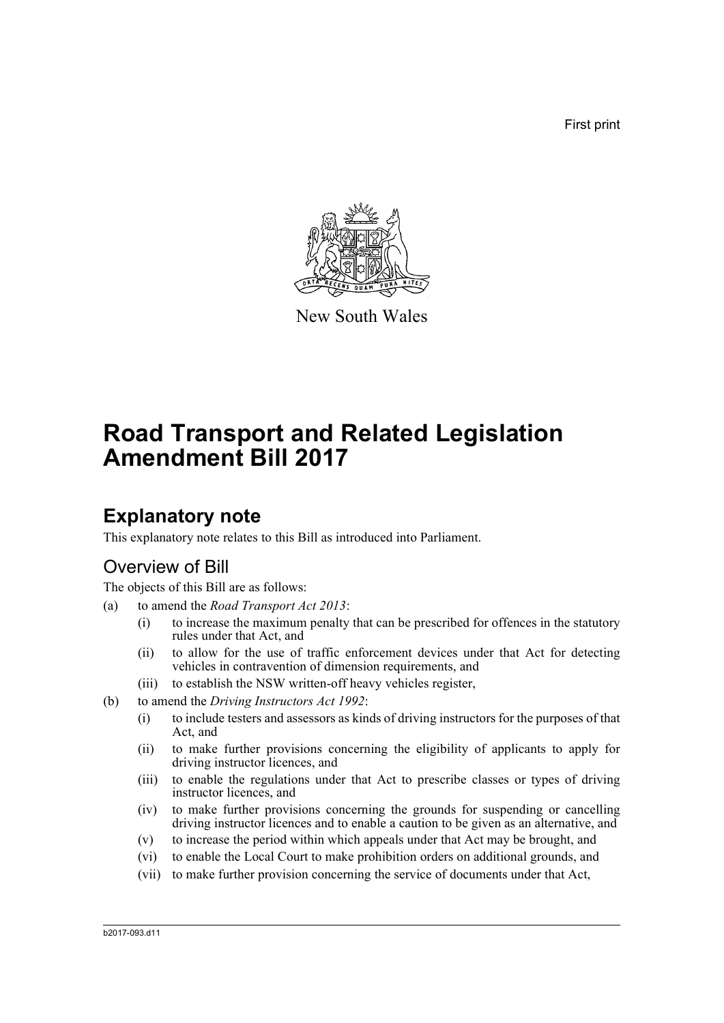First print



New South Wales

# **Road Transport and Related Legislation Amendment Bill 2017**

# **Explanatory note**

This explanatory note relates to this Bill as introduced into Parliament.

# Overview of Bill

The objects of this Bill are as follows:

- (a) to amend the *Road Transport Act 2013*:
	- (i) to increase the maximum penalty that can be prescribed for offences in the statutory rules under that Act, and
	- (ii) to allow for the use of traffic enforcement devices under that Act for detecting vehicles in contravention of dimension requirements, and
	- (iii) to establish the NSW written-off heavy vehicles register,
- (b) to amend the *Driving Instructors Act 1992*:
	- (i) to include testers and assessors as kinds of driving instructors for the purposes of that Act, and
	- (ii) to make further provisions concerning the eligibility of applicants to apply for driving instructor licences, and
	- (iii) to enable the regulations under that Act to prescribe classes or types of driving instructor licences, and
	- (iv) to make further provisions concerning the grounds for suspending or cancelling driving instructor licences and to enable a caution to be given as an alternative, and
	- (v) to increase the period within which appeals under that Act may be brought, and
	- (vi) to enable the Local Court to make prohibition orders on additional grounds, and
	- (vii) to make further provision concerning the service of documents under that Act,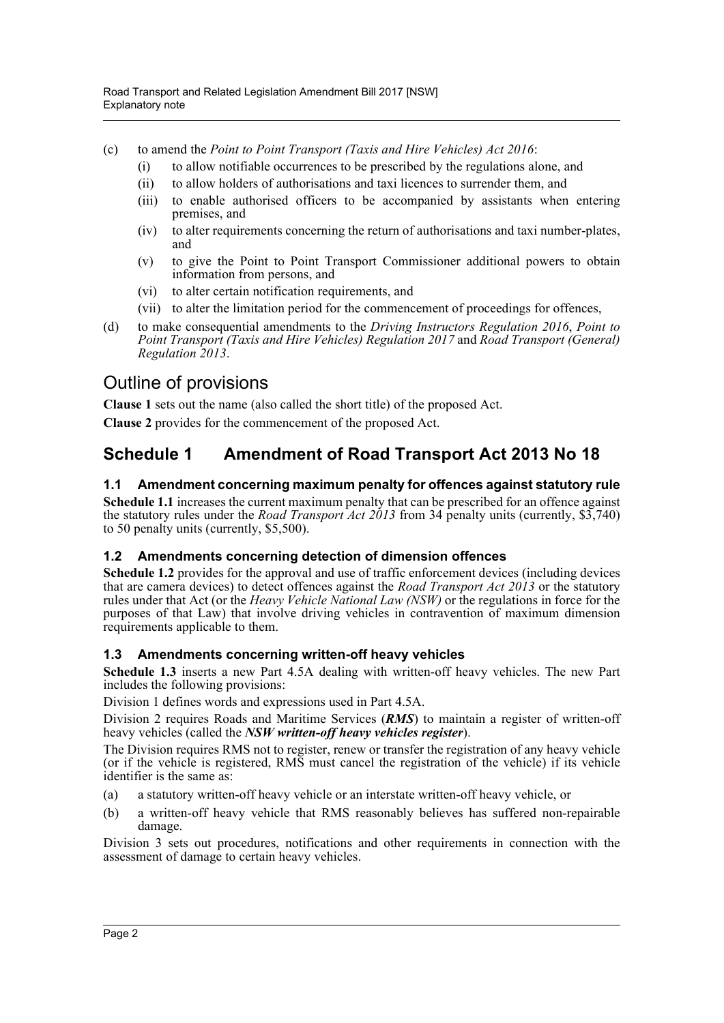- (c) to amend the *Point to Point Transport (Taxis and Hire Vehicles) Act 2016*:
	- (i) to allow notifiable occurrences to be prescribed by the regulations alone, and
	- (ii) to allow holders of authorisations and taxi licences to surrender them, and
	- (iii) to enable authorised officers to be accompanied by assistants when entering premises, and
	- (iv) to alter requirements concerning the return of authorisations and taxi number-plates, and
	- (v) to give the Point to Point Transport Commissioner additional powers to obtain information from persons, and
	- (vi) to alter certain notification requirements, and
	- (vii) to alter the limitation period for the commencement of proceedings for offences,
- (d) to make consequential amendments to the *Driving Instructors Regulation 2016*, *Point to Point Transport (Taxis and Hire Vehicles) Regulation 2017* and *Road Transport (General) Regulation 2013*.

# Outline of provisions

**Clause 1** sets out the name (also called the short title) of the proposed Act.

**Clause 2** provides for the commencement of the proposed Act.

# **Schedule 1 Amendment of Road Transport Act 2013 No 18**

## **1.1 Amendment concerning maximum penalty for offences against statutory rule**

**Schedule 1.1** increases the current maximum penalty that can be prescribed for an offence against the statutory rules under the *Road Transport Act 2013* from 34 penalty units (currently, \$3,740) to 50 penalty units (currently, \$5,500).

## **1.2 Amendments concerning detection of dimension offences**

**Schedule 1.2** provides for the approval and use of traffic enforcement devices (including devices that are camera devices) to detect offences against the *Road Transport Act 2013* or the statutory rules under that Act (or the *Heavy Vehicle National Law (NSW)* or the regulations in force for the purposes of that Law) that involve driving vehicles in contravention of maximum dimension requirements applicable to them.

## **1.3 Amendments concerning written-off heavy vehicles**

**Schedule 1.3** inserts a new Part 4.5A dealing with written-off heavy vehicles. The new Part includes the following provisions:

Division 1 defines words and expressions used in Part 4.5A.

Division 2 requires Roads and Maritime Services (*RMS*) to maintain a register of written-off heavy vehicles (called the *NSW written-off heavy vehicles register*).

The Division requires RMS not to register, renew or transfer the registration of any heavy vehicle (or if the vehicle is registered, RMS must cancel the registration of the vehicle) if its vehicle identifier is the same as:

- (a) a statutory written-off heavy vehicle or an interstate written-off heavy vehicle, or
- (b) a written-off heavy vehicle that RMS reasonably believes has suffered non-repairable damage.

Division 3 sets out procedures, notifications and other requirements in connection with the assessment of damage to certain heavy vehicles.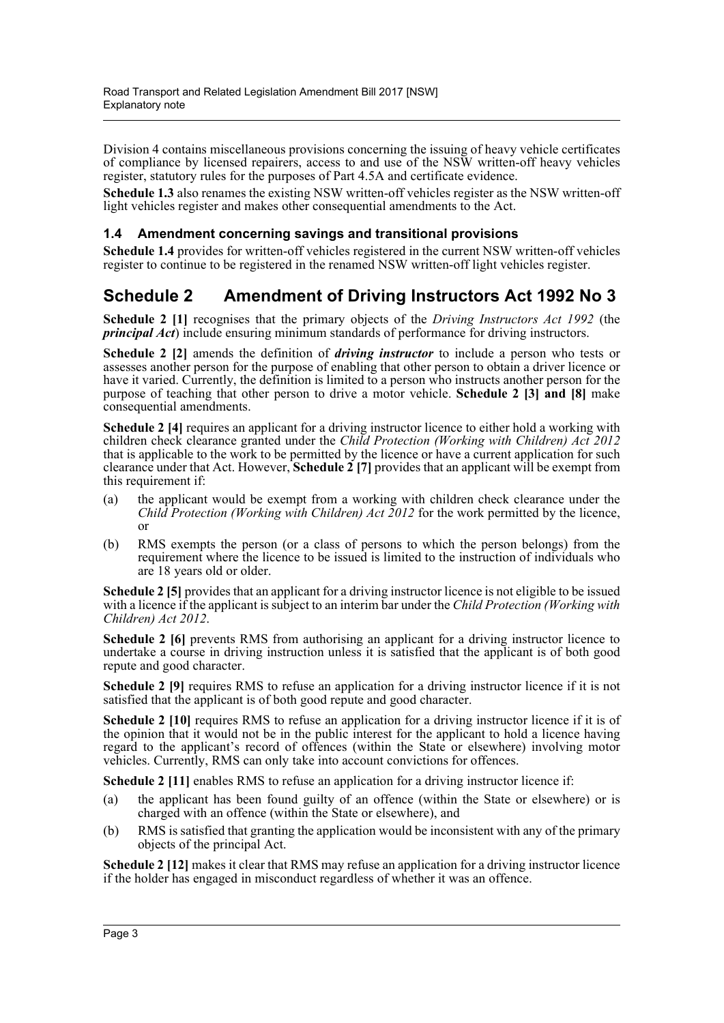Division 4 contains miscellaneous provisions concerning the issuing of heavy vehicle certificates of compliance by licensed repairers, access to and use of the NSW written-off heavy vehicles register, statutory rules for the purposes of Part 4.5A and certificate evidence.

**Schedule 1.3** also renames the existing NSW written-off vehicles register as the NSW written-off light vehicles register and makes other consequential amendments to the Act.

### **1.4 Amendment concerning savings and transitional provisions**

**Schedule 1.4** provides for written-off vehicles registered in the current NSW written-off vehicles register to continue to be registered in the renamed NSW written-off light vehicles register.

# **Schedule 2 Amendment of Driving Instructors Act 1992 No 3**

**Schedule 2 [1]** recognises that the primary objects of the *Driving Instructors Act 1992* (the *principal Act*) include ensuring minimum standards of performance for driving instructors.

**Schedule 2 [2]** amends the definition of *driving instructor* to include a person who tests or assesses another person for the purpose of enabling that other person to obtain a driver licence or have it varied. Currently, the definition is limited to a person who instructs another person for the purpose of teaching that other person to drive a motor vehicle. **Schedule 2 [3] and [8]** make consequential amendments.

**Schedule 2 [4]** requires an applicant for a driving instructor licence to either hold a working with children check clearance granted under the *Child Protection (Working with Children) Act 2012* that is applicable to the work to be permitted by the licence or have a current application for such clearance under that Act. However, **Schedule 2 [7]** provides that an applicant will be exempt from this requirement if:

- (a) the applicant would be exempt from a working with children check clearance under the *Child Protection (Working with Children) Act 2012* for the work permitted by the licence, or
- (b) RMS exempts the person (or a class of persons to which the person belongs) from the requirement where the licence to be issued is limited to the instruction of individuals who are 18 years old or older.

**Schedule 2 [5]** provides that an applicant for a driving instructor licence is not eligible to be issued with a licence if the applicant is subject to an interim bar under the *Child Protection (Working with Children) Act 2012*.

**Schedule 2 [6]** prevents RMS from authorising an applicant for a driving instructor licence to undertake a course in driving instruction unless it is satisfied that the applicant is of both good repute and good character.

**Schedule 2 [9]** requires RMS to refuse an application for a driving instructor licence if it is not satisfied that the applicant is of both good repute and good character.

**Schedule 2 [10]** requires RMS to refuse an application for a driving instructor licence if it is of the opinion that it would not be in the public interest for the applicant to hold a licence having regard to the applicant's record of offences (within the State or elsewhere) involving motor vehicles. Currently, RMS can only take into account convictions for offences.

**Schedule 2 [11]** enables RMS to refuse an application for a driving instructor licence if:

- (a) the applicant has been found guilty of an offence (within the State or elsewhere) or is charged with an offence (within the State or elsewhere), and
- (b) RMS is satisfied that granting the application would be inconsistent with any of the primary objects of the principal Act.

**Schedule 2 [12]** makes it clear that RMS may refuse an application for a driving instructor licence if the holder has engaged in misconduct regardless of whether it was an offence.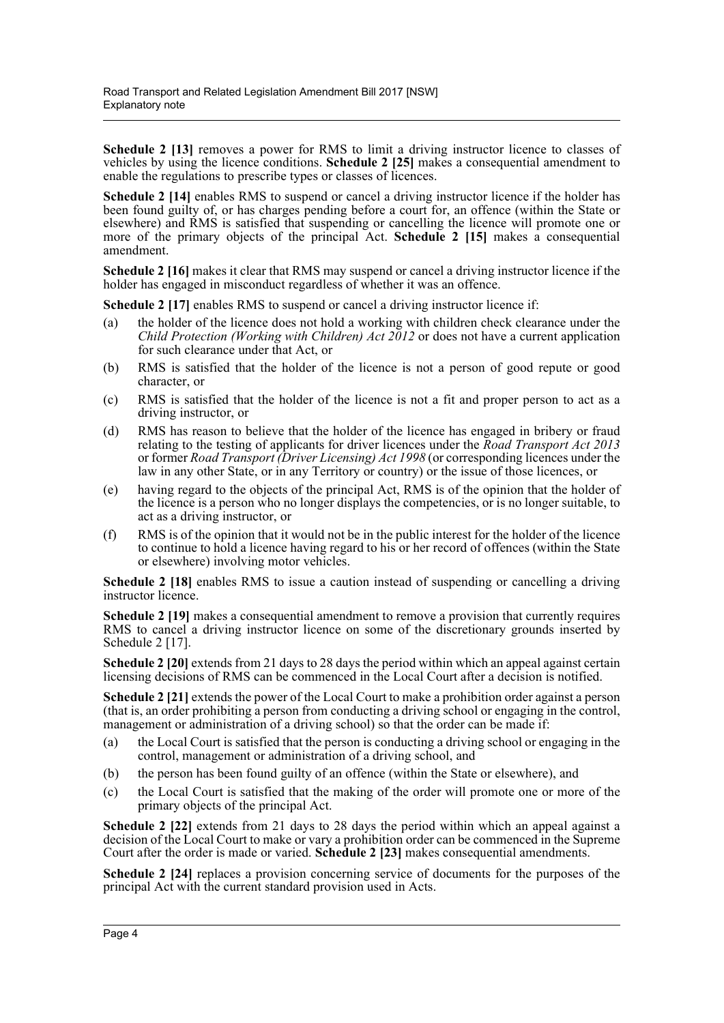Schedule 2 [13] removes a power for RMS to limit a driving instructor licence to classes of vehicles by using the licence conditions. **Schedule 2 [25]** makes a consequential amendment to enable the regulations to prescribe types or classes of licences.

**Schedule 2 [14]** enables RMS to suspend or cancel a driving instructor licence if the holder has been found guilty of, or has charges pending before a court for, an offence (within the State or elsewhere) and RMS is satisfied that suspending or cancelling the licence will promote one or more of the primary objects of the principal Act. **Schedule 2 [15]** makes a consequential amendment.

**Schedule 2 [16]** makes it clear that RMS may suspend or cancel a driving instructor licence if the holder has engaged in misconduct regardless of whether it was an offence.

**Schedule 2 [17] enables RMS to suspend or cancel a driving instructor licence if:** 

- (a) the holder of the licence does not hold a working with children check clearance under the *Child Protection (Working with Children) Act 2012* or does not have a current application for such clearance under that Act, or
- (b) RMS is satisfied that the holder of the licence is not a person of good repute or good character, or
- (c) RMS is satisfied that the holder of the licence is not a fit and proper person to act as a driving instructor, or
- (d) RMS has reason to believe that the holder of the licence has engaged in bribery or fraud relating to the testing of applicants for driver licences under the *Road Transport Act 2013* or former *Road Transport (Driver Licensing) Act 1998* (or corresponding licences under the law in any other State, or in any Territory or country) or the issue of those licences, or
- (e) having regard to the objects of the principal Act, RMS is of the opinion that the holder of the licence is a person who no longer displays the competencies, or is no longer suitable, to act as a driving instructor, or
- (f) RMS is of the opinion that it would not be in the public interest for the holder of the licence to continue to hold a licence having regard to his or her record of offences (within the State or elsewhere) involving motor vehicles.

**Schedule 2 [18]** enables RMS to issue a caution instead of suspending or cancelling a driving instructor licence.

**Schedule 2 [19]** makes a consequential amendment to remove a provision that currently requires RMS to cancel a driving instructor licence on some of the discretionary grounds inserted by Schedule 2 [17].

**Schedule 2 [20]** extends from 21 days to 28 days the period within which an appeal against certain licensing decisions of RMS can be commenced in the Local Court after a decision is notified.

**Schedule 2 [21]** extends the power of the Local Court to make a prohibition order against a person (that is, an order prohibiting a person from conducting a driving school or engaging in the control, management or administration of a driving school) so that the order can be made if:

- (a) the Local Court is satisfied that the person is conducting a driving school or engaging in the control, management or administration of a driving school, and
- (b) the person has been found guilty of an offence (within the State or elsewhere), and
- (c) the Local Court is satisfied that the making of the order will promote one or more of the primary objects of the principal Act.

**Schedule 2 [22]** extends from 21 days to 28 days the period within which an appeal against a decision of the Local Court to make or vary a prohibition order can be commenced in the Supreme Court after the order is made or varied. **Schedule 2 [23]** makes consequential amendments.

**Schedule 2 [24]** replaces a provision concerning service of documents for the purposes of the principal Act with the current standard provision used in Acts.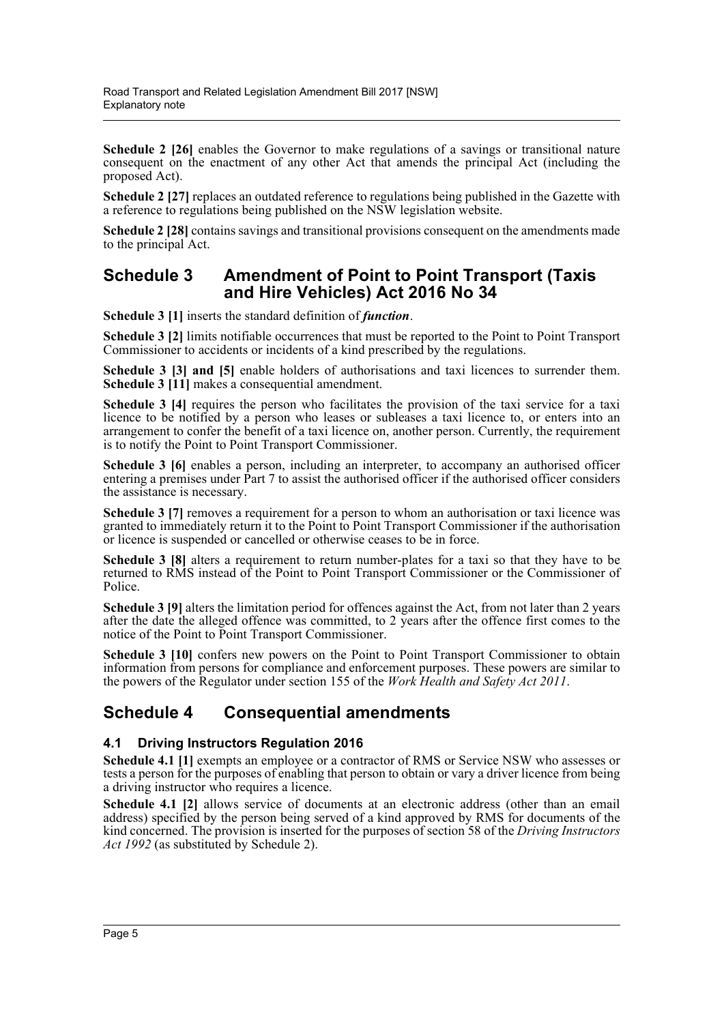**Schedule 2 [26]** enables the Governor to make regulations of a savings or transitional nature consequent on the enactment of any other Act that amends the principal Act (including the proposed Act).

**Schedule 2 [27]** replaces an outdated reference to regulations being published in the Gazette with a reference to regulations being published on the NSW legislation website.

**Schedule 2 [28]** contains savings and transitional provisions consequent on the amendments made to the principal Act.

## **Schedule 3 Amendment of Point to Point Transport (Taxis and Hire Vehicles) Act 2016 No 34**

**Schedule 3 [1]** inserts the standard definition of *function*.

**Schedule 3 [2]** limits notifiable occurrences that must be reported to the Point to Point Transport Commissioner to accidents or incidents of a kind prescribed by the regulations.

**Schedule 3 [3] and [5]** enable holders of authorisations and taxi licences to surrender them. **Schedule 3 [11]** makes a consequential amendment.

**Schedule 3 [4]** requires the person who facilitates the provision of the taxi service for a taxi licence to be notified by a person who leases or subleases a taxi licence to, or enters into an arrangement to confer the benefit of a taxi licence on, another person. Currently, the requirement is to notify the Point to Point Transport Commissioner.

**Schedule 3 [6]** enables a person, including an interpreter, to accompany an authorised officer entering a premises under Part 7 to assist the authorised officer if the authorised officer considers the assistance is necessary.

**Schedule 3** [7] removes a requirement for a person to whom an authorisation or taxi licence was granted to immediately return it to the Point to Point Transport Commissioner if the authorisation or licence is suspended or cancelled or otherwise ceases to be in force.

**Schedule 3 [8]** alters a requirement to return number-plates for a taxi so that they have to be returned to RMS instead of the Point to Point Transport Commissioner or the Commissioner of Police.

**Schedule 3 [9]** alters the limitation period for offences against the Act, from not later than 2 years after the date the alleged offence was committed, to 2 years after the offence first comes to the notice of the Point to Point Transport Commissioner.

Schedule 3 [10] confers new powers on the Point to Point Transport Commissioner to obtain information from persons for compliance and enforcement purposes. These powers are similar to the powers of the Regulator under section 155 of the *Work Health and Safety Act 2011*.

# **Schedule 4 Consequential amendments**

## **4.1 Driving Instructors Regulation 2016**

**Schedule 4.1 [1]** exempts an employee or a contractor of RMS or Service NSW who assesses or tests a person for the purposes of enabling that person to obtain or vary a driver licence from being a driving instructor who requires a licence.

**Schedule 4.1 [2]** allows service of documents at an electronic address (other than an email address) specified by the person being served of a kind approved by RMS for documents of the kind concerned. The provision is inserted for the purposes of section 58 of the *Driving Instructors Act 1992* (as substituted by Schedule 2).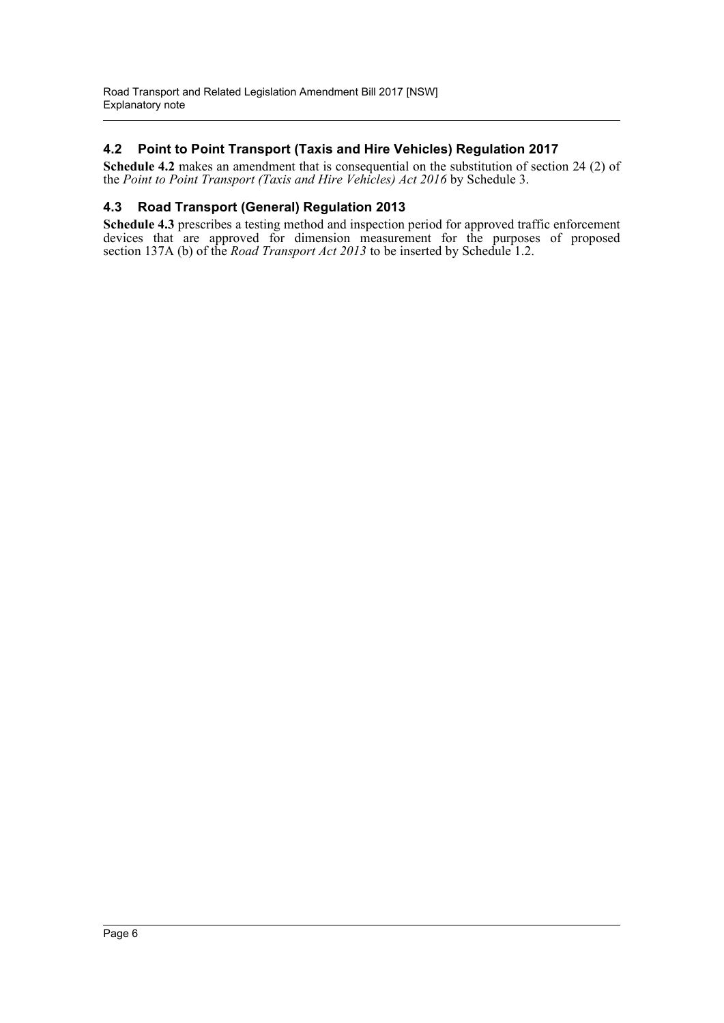## **4.2 Point to Point Transport (Taxis and Hire Vehicles) Regulation 2017**

**Schedule 4.2** makes an amendment that is consequential on the substitution of section 24 (2) of the *Point to Point Transport (Taxis and Hire Vehicles) Act 2016* by Schedule 3.

### **4.3 Road Transport (General) Regulation 2013**

**Schedule 4.3** prescribes a testing method and inspection period for approved traffic enforcement devices that are approved for dimension measurement for the purposes of proposed section 137A (b) of the *Road Transport Act 2013* to be inserted by Schedule 1.2.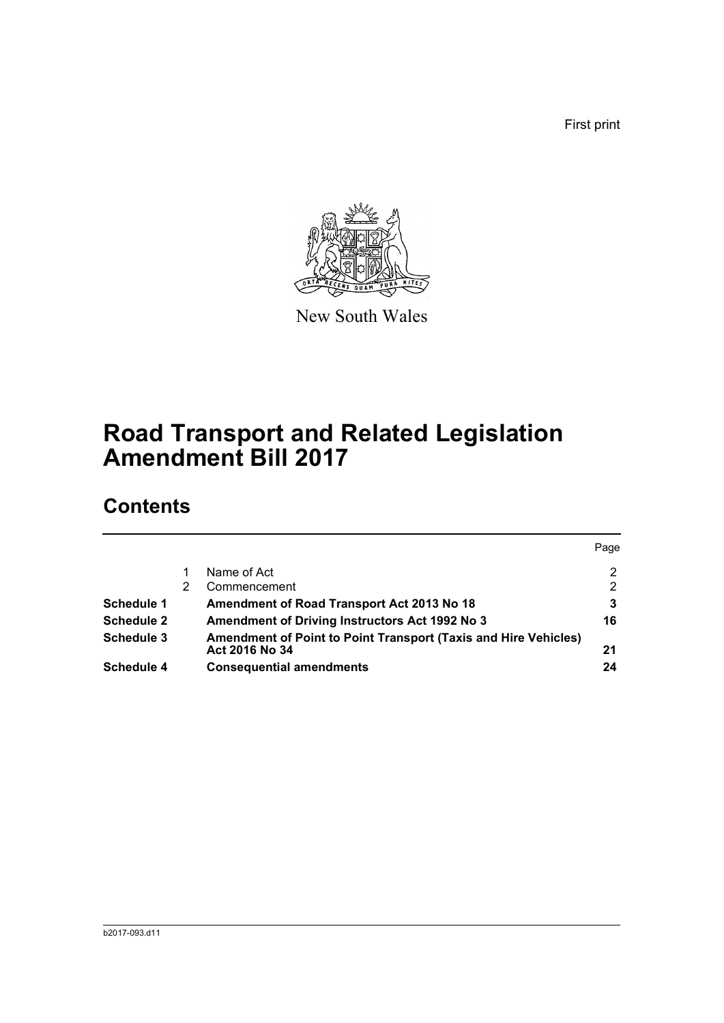First print



New South Wales

# **Road Transport and Related Legislation Amendment Bill 2017**

# **Contents**

|                   |                                                                                   | Page           |
|-------------------|-----------------------------------------------------------------------------------|----------------|
|                   | Name of Act                                                                       | 2              |
|                   | Commencement                                                                      | $\overline{2}$ |
| Schedule 1        | <b>Amendment of Road Transport Act 2013 No 18</b>                                 | 3              |
| <b>Schedule 2</b> | <b>Amendment of Driving Instructors Act 1992 No 3</b>                             | 16             |
| Schedule 3        | Amendment of Point to Point Transport (Taxis and Hire Vehicles)<br>Act 2016 No 34 | 21             |
| <b>Schedule 4</b> | <b>Consequential amendments</b>                                                   | 24             |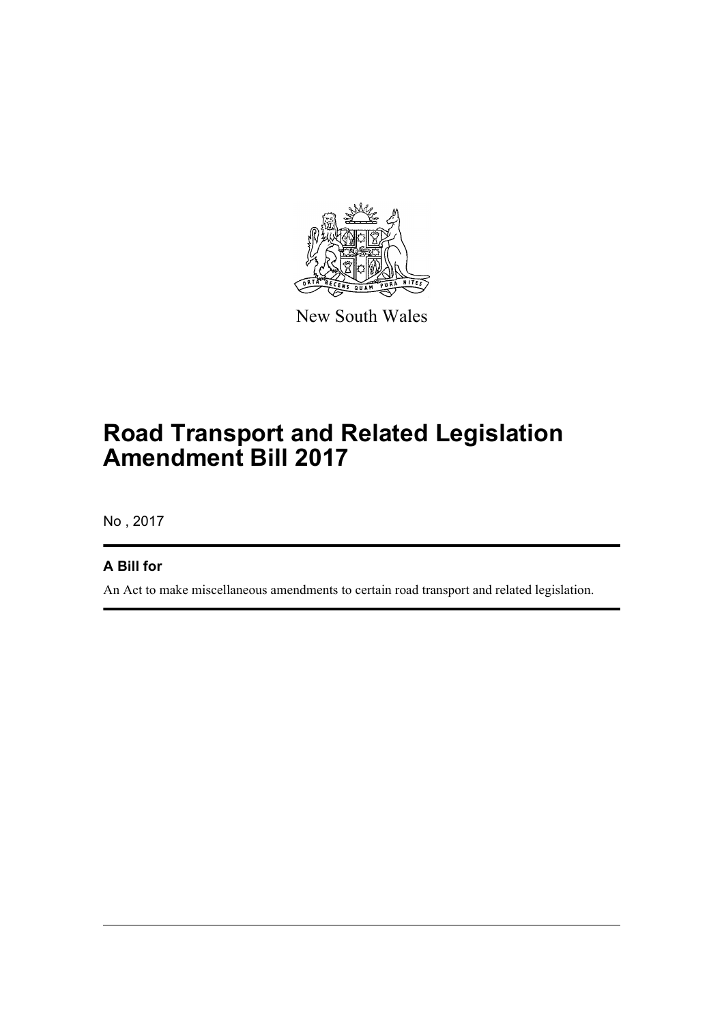

New South Wales

# **Road Transport and Related Legislation Amendment Bill 2017**

No , 2017

## **A Bill for**

An Act to make miscellaneous amendments to certain road transport and related legislation.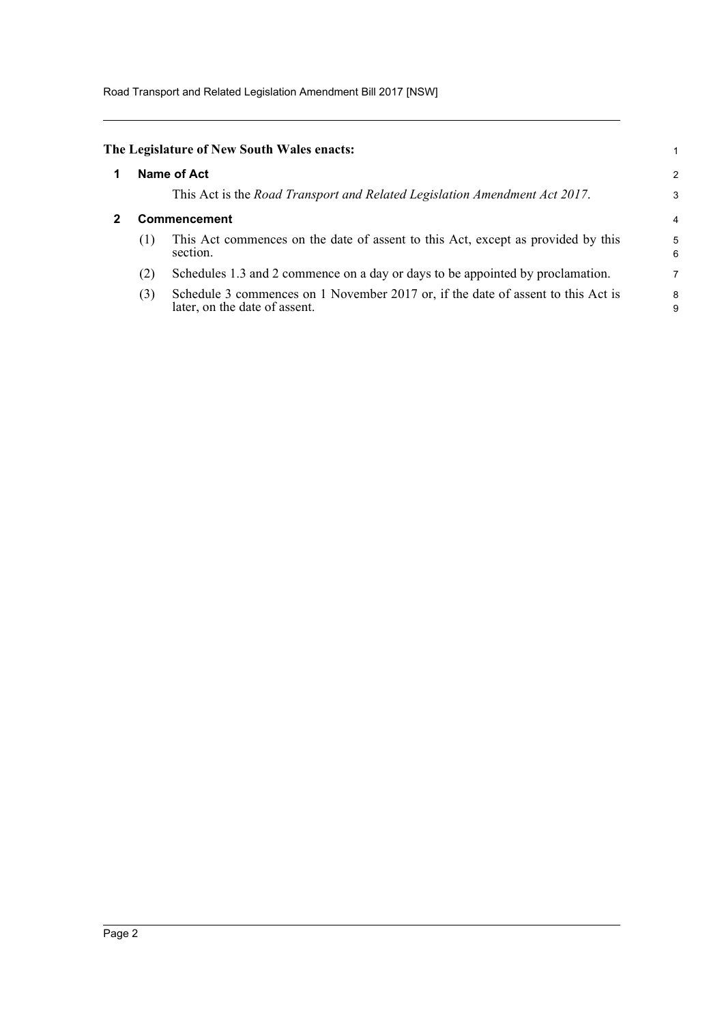Road Transport and Related Legislation Amendment Bill 2017 [NSW]

<span id="page-8-1"></span><span id="page-8-0"></span>

|                     | The Legislature of New South Wales enacts:                                                                        |                |
|---------------------|-------------------------------------------------------------------------------------------------------------------|----------------|
| Name of Act         |                                                                                                                   |                |
|                     | This Act is the Road Transport and Related Legislation Amendment Act 2017.                                        | 3              |
| <b>Commencement</b> |                                                                                                                   | $\overline{4}$ |
| (1)                 | This Act commences on the date of assent to this Act, except as provided by this<br>section.                      | 5<br>6         |
| (2)                 | Schedules 1.3 and 2 commence on a day or days to be appointed by proclamation.                                    | $\overline{7}$ |
| (3)                 | Schedule 3 commences on 1 November 2017 or, if the date of assent to this Act is<br>later, on the date of assent. | 8<br>9         |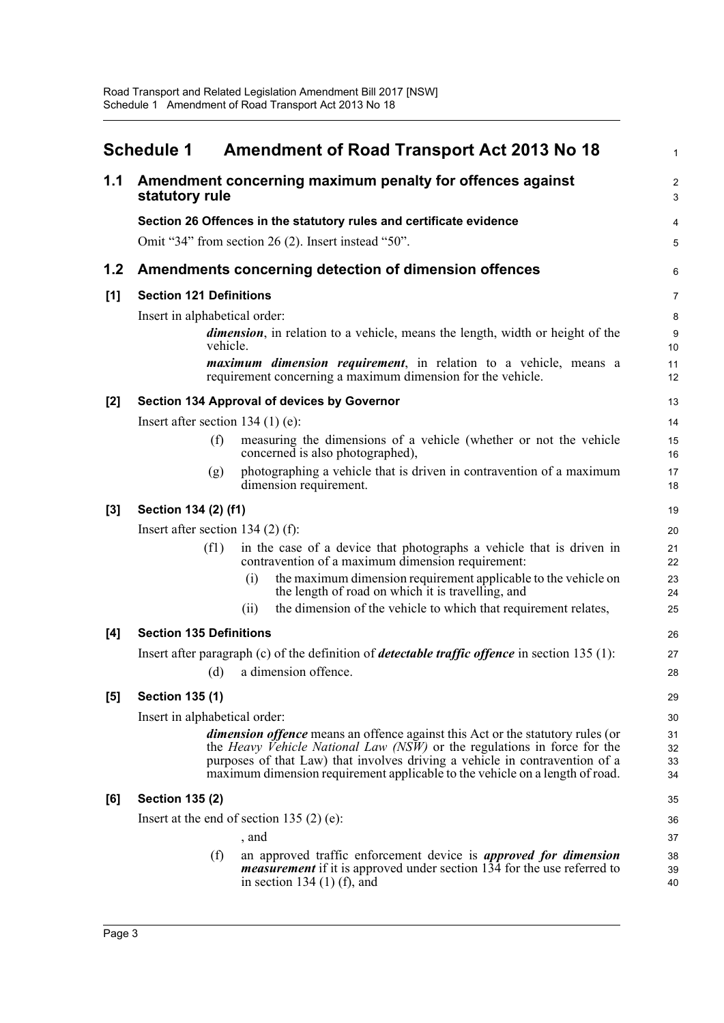<span id="page-9-0"></span>

|       | <b>Schedule 1</b>                   | <b>Amendment of Road Transport Act 2013 No 18</b>                                                                                                                                             | $\mathbf{1}$            |
|-------|-------------------------------------|-----------------------------------------------------------------------------------------------------------------------------------------------------------------------------------------------|-------------------------|
| 1.1   | statutory rule                      | Amendment concerning maximum penalty for offences against                                                                                                                                     | $\boldsymbol{2}$<br>3   |
|       |                                     | Section 26 Offences in the statutory rules and certificate evidence                                                                                                                           | $\overline{\mathbf{4}}$ |
|       |                                     | Omit "34" from section 26 (2). Insert instead "50".                                                                                                                                           | 5                       |
| 1.2   |                                     | Amendments concerning detection of dimension offences                                                                                                                                         | 6                       |
| [1]   | <b>Section 121 Definitions</b>      |                                                                                                                                                                                               | $\overline{7}$          |
|       | Insert in alphabetical order:       |                                                                                                                                                                                               | 8                       |
|       | vehicle.                            | <i>dimension</i> , in relation to a vehicle, means the length, width or height of the                                                                                                         | $9\,$<br>10             |
|       |                                     | <i>maximum dimension requirement</i> , in relation to a vehicle, means a<br>requirement concerning a maximum dimension for the vehicle.                                                       | 11<br>12                |
| $[2]$ |                                     | Section 134 Approval of devices by Governor                                                                                                                                                   | 13                      |
|       | Insert after section $134(1)$ (e):  |                                                                                                                                                                                               | 14                      |
|       | (f)                                 | measuring the dimensions of a vehicle (whether or not the vehicle<br>concerned is also photographed),                                                                                         | 15<br>16                |
|       | (g)                                 | photographing a vehicle that is driven in contravention of a maximum<br>dimension requirement.                                                                                                | 17<br>18                |
| $[3]$ | Section 134 (2) (f1)                |                                                                                                                                                                                               | 19                      |
|       | Insert after section 134 $(2)$ (f): |                                                                                                                                                                                               | 20                      |
|       | (f1)                                | in the case of a device that photographs a vehicle that is driven in<br>contravention of a maximum dimension requirement:                                                                     | 21<br>22                |
|       |                                     | the maximum dimension requirement applicable to the vehicle on<br>(i)<br>the length of road on which it is travelling, and                                                                    | 23<br>24                |
|       |                                     | the dimension of the vehicle to which that requirement relates,<br>(ii)                                                                                                                       | 25                      |
| [4]   | <b>Section 135 Definitions</b>      |                                                                                                                                                                                               | 26                      |
|       |                                     | Insert after paragraph (c) of the definition of <i>detectable traffic offence</i> in section $135(1)$ :                                                                                       | 27                      |
|       | (d)                                 | a dimension offence.                                                                                                                                                                          | 28                      |
| [5]   | <b>Section 135 (1)</b>              |                                                                                                                                                                                               | 29                      |
|       | Insert in alphabetical order:       |                                                                                                                                                                                               | 30                      |
|       |                                     | dimension offence means an offence against this Act or the statutory rules (or                                                                                                                | 31                      |
|       |                                     | the <i>Heavy Vehicle National Law (NSW)</i> or the regulations in force for the<br>purposes of that Law) that involves driving a vehicle in contravention of a                                | 32<br>33                |
|       |                                     | maximum dimension requirement applicable to the vehicle on a length of road.                                                                                                                  | 34                      |
| [6]   | <b>Section 135 (2)</b>              |                                                                                                                                                                                               | 35                      |
|       |                                     | Insert at the end of section 135 $(2)$ (e):                                                                                                                                                   | 36                      |
|       |                                     | , and                                                                                                                                                                                         | 37                      |
|       | (f)                                 | an approved traffic enforcement device is <i>approved for dimension</i><br><i>measurement</i> if it is approved under section 134 for the use referred to<br>in section 134 $(1)$ $(f)$ , and | 38<br>39<br>40          |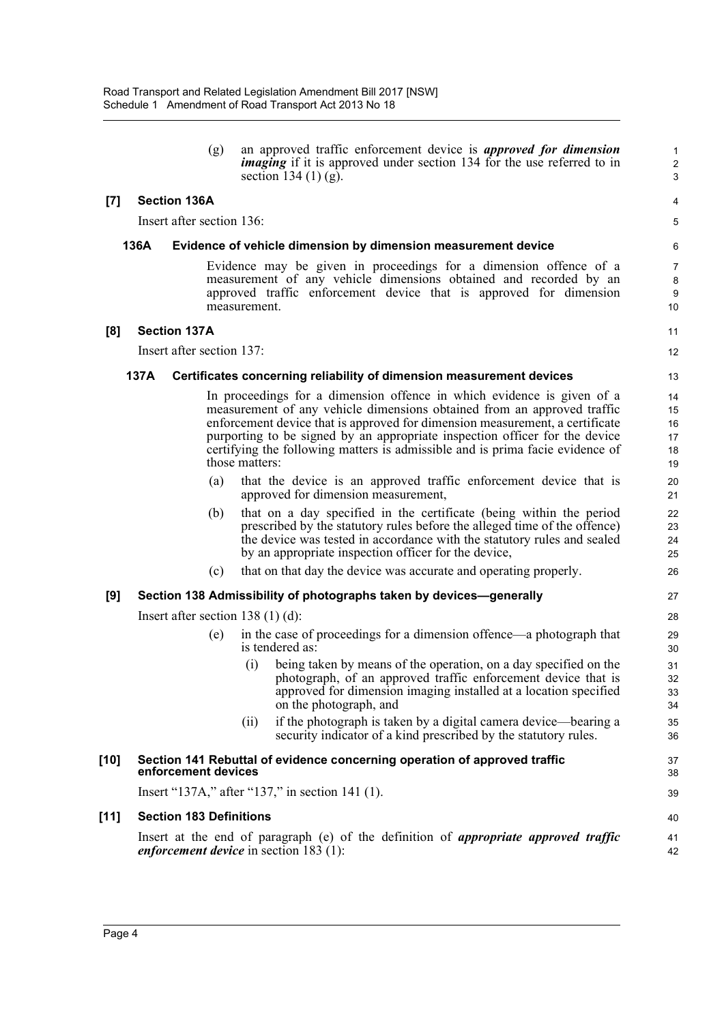(g) an approved traffic enforcement device is *approved for dimension imaging* if it is approved under section 134 for the use referred to in section 134 $(1)$  $(g)$ .

11 12

40 41 42

#### **[7] Section 136A**

Insert after section 136:

#### **136A Evidence of vehicle dimension by dimension measurement device**

Evidence may be given in proceedings for a dimension offence of a measurement of any vehicle dimensions obtained and recorded by an approved traffic enforcement device that is approved for dimension measurement.

#### **[8] Section 137A**

Insert after section 137:

#### **137A Certificates concerning reliability of dimension measurement devices**

In proceedings for a dimension offence in which evidence is given of a measurement of any vehicle dimensions obtained from an approved traffic enforcement device that is approved for dimension measurement, a certificate purporting to be signed by an appropriate inspection officer for the device certifying the following matters is admissible and is prima facie evidence of those matters:

- (a) that the device is an approved traffic enforcement device that is approved for dimension measurement,
- (b) that on a day specified in the certificate (being within the period prescribed by the statutory rules before the alleged time of the offence) the device was tested in accordance with the statutory rules and sealed by an appropriate inspection officer for the device,
- (c) that on that day the device was accurate and operating properly.

#### **[9] Section 138 Admissibility of photographs taken by devices—generally**

Insert after section 138 (1) (d):

- (e) in the case of proceedings for a dimension offence—a photograph that is tendered as:
	- (i) being taken by means of the operation, on a day specified on the photograph, of an approved traffic enforcement device that is approved for dimension imaging installed at a location specified on the photograph, and
	- (ii) if the photograph is taken by a digital camera device—bearing a security indicator of a kind prescribed by the statutory rules.

#### **[10] Section 141 Rebuttal of evidence concerning operation of approved traffic enforcement devices**

Insert "137A," after "137," in section 141 (1).

#### **[11] Section 183 Definitions**

Insert at the end of paragraph (e) of the definition of *appropriate approved traffic enforcement device* in section 183 (1):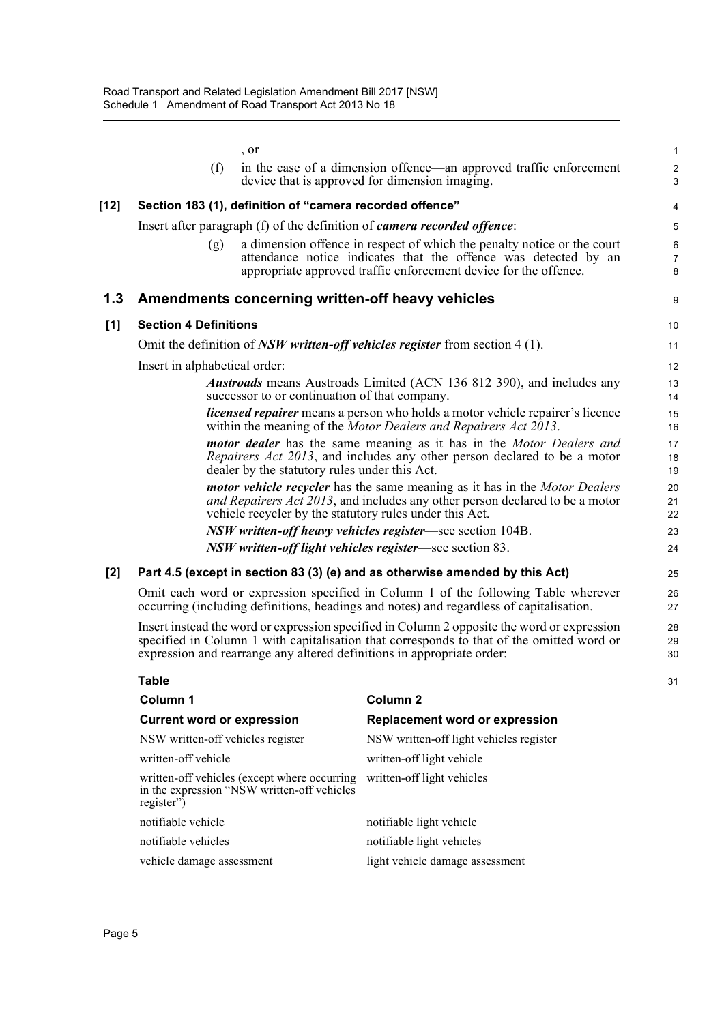|        | , or                                                                                                                                                                                                                                                               | $\mathbf{1}$             |
|--------|--------------------------------------------------------------------------------------------------------------------------------------------------------------------------------------------------------------------------------------------------------------------|--------------------------|
|        | (f)<br>in the case of a dimension offence—an approved traffic enforcement<br>device that is approved for dimension imaging.                                                                                                                                        | $\boldsymbol{2}$<br>3    |
| $[12]$ | Section 183 (1), definition of "camera recorded offence"                                                                                                                                                                                                           | 4                        |
|        | Insert after paragraph (f) of the definition of <i>camera recorded offence</i> :                                                                                                                                                                                   | 5                        |
|        | a dimension offence in respect of which the penalty notice or the court<br>(g)<br>attendance notice indicates that the offence was detected by an<br>appropriate approved traffic enforcement device for the offence.                                              | 6<br>$\overline{7}$<br>8 |
| 1.3    | Amendments concerning written-off heavy vehicles                                                                                                                                                                                                                   | 9                        |
| [1]    | <b>Section 4 Definitions</b>                                                                                                                                                                                                                                       | 10                       |
|        | Omit the definition of $NSW$ written-off vehicles register from section 4 (1).                                                                                                                                                                                     | 11                       |
|        | Insert in alphabetical order:                                                                                                                                                                                                                                      | 12                       |
|        | <b>Austroads</b> means Austroads Limited (ACN 136 812 390), and includes any<br>successor to or continuation of that company.                                                                                                                                      | 13<br>14                 |
|        | licensed repairer means a person who holds a motor vehicle repairer's licence<br>within the meaning of the Motor Dealers and Repairers Act 2013.                                                                                                                   | 15<br>16                 |
|        | motor dealer has the same meaning as it has in the Motor Dealers and<br><i>Repairers Act 2013</i> , and includes any other person declared to be a motor<br>dealer by the statutory rules under this Act.                                                          | 17<br>18<br>19           |
|        | <i>motor vehicle recycler</i> has the same meaning as it has in the <i>Motor Dealers</i><br>and Repairers Act 2013, and includes any other person declared to be a motor<br>vehicle recycler by the statutory rules under this Act.                                | 20<br>21<br>22           |
|        | NSW written-off heavy vehicles register—see section 104B.                                                                                                                                                                                                          | 23                       |
|        | NSW written-off light vehicles register—see section 83.                                                                                                                                                                                                            | 24                       |
| [2]    | Part 4.5 (except in section 83 (3) (e) and as otherwise amended by this Act)                                                                                                                                                                                       | 25                       |
|        | Omit each word or expression specified in Column 1 of the following Table wherever<br>occurring (including definitions, headings and notes) and regardless of capitalisation.                                                                                      | 26<br>27                 |
|        | Insert instead the word or expression specified in Column 2 opposite the word or expression<br>specified in Column 1 with capitalisation that corresponds to that of the omitted word or<br>expression and rearrange any altered definitions in appropriate order: | 28<br>29<br>30           |
|        | <b>Table</b>                                                                                                                                                                                                                                                       | 31                       |
|        |                                                                                                                                                                                                                                                                    |                          |

| Column 1                                                                                                  | Column <sub>2</sub>                     |
|-----------------------------------------------------------------------------------------------------------|-----------------------------------------|
| <b>Current word or expression</b>                                                                         | <b>Replacement word or expression</b>   |
| NSW written-off vehicles register                                                                         | NSW written-off light vehicles register |
| written-off vehicle                                                                                       | written-off light vehicle               |
| written-off vehicles (except where occurring<br>in the expression "NSW written-off vehicles<br>register") | written-off light vehicles              |
| notifiable vehicle                                                                                        | notifiable light vehicle                |
| notifiable vehicles                                                                                       | notifiable light vehicles               |
| vehicle damage assessment                                                                                 | light vehicle damage assessment         |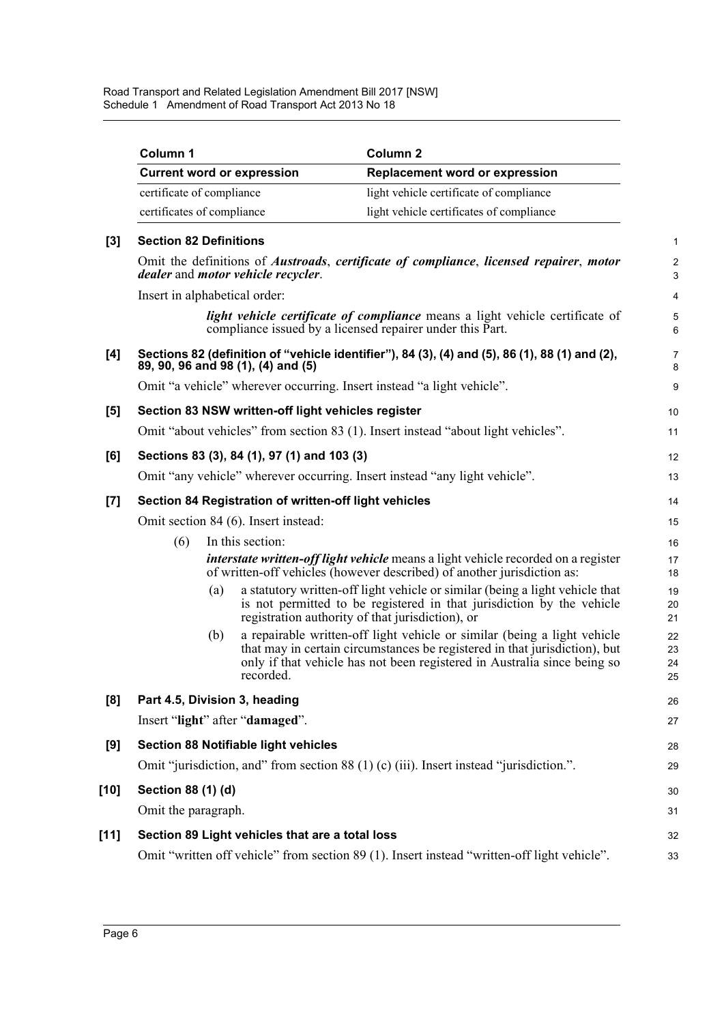Road Transport and Related Legislation Amendment Bill 2017 [NSW] Schedule 1 Amendment of Road Transport Act 2013 No 18

| Column 1           |                                                       | Column <sub>2</sub>                                                                                                                                                                                                                |
|--------------------|-------------------------------------------------------|------------------------------------------------------------------------------------------------------------------------------------------------------------------------------------------------------------------------------------|
|                    | <b>Current word or expression</b>                     | <b>Replacement word or expression</b>                                                                                                                                                                                              |
|                    | certificate of compliance                             | light vehicle certificate of compliance                                                                                                                                                                                            |
|                    | certificates of compliance                            | light vehicle certificates of compliance                                                                                                                                                                                           |
|                    | <b>Section 82 Definitions</b>                         |                                                                                                                                                                                                                                    |
|                    | dealer and motor vehicle recycler.                    | Omit the definitions of <i>Austroads</i> , <i>certificate of compliance</i> , <i>licensed repairer</i> , <i>motor</i>                                                                                                              |
|                    | Insert in alphabetical order:                         |                                                                                                                                                                                                                                    |
|                    |                                                       | light vehicle certificate of compliance means a light vehicle certificate of<br>compliance issued by a licensed repairer under this Part.                                                                                          |
|                    | 89, 90, 96 and 98 (1), (4) and (5)                    | Sections 82 (definition of "vehicle identifier"), 84 (3), (4) and (5), 86 (1), 88 (1) and (2),                                                                                                                                     |
|                    |                                                       | Omit "a vehicle" wherever occurring. Insert instead "a light vehicle".                                                                                                                                                             |
|                    | Section 83 NSW written-off light vehicles register    |                                                                                                                                                                                                                                    |
|                    |                                                       | Omit "about vehicles" from section 83 (1). Insert instead "about light vehicles".                                                                                                                                                  |
|                    | Sections 83 (3), 84 (1), 97 (1) and 103 (3)           |                                                                                                                                                                                                                                    |
|                    |                                                       | Omit "any vehicle" wherever occurring. Insert instead "any light vehicle".                                                                                                                                                         |
|                    | Section 84 Registration of written-off light vehicles |                                                                                                                                                                                                                                    |
|                    | Omit section 84 (6). Insert instead:                  |                                                                                                                                                                                                                                    |
| (6)                | In this section:                                      |                                                                                                                                                                                                                                    |
|                    |                                                       | <i>interstate written-off light vehicle</i> means a light vehicle recorded on a register<br>of written-off vehicles (however described) of another jurisdiction as:                                                                |
|                    | (a)                                                   | a statutory written-off light vehicle or similar (being a light vehicle that<br>is not permitted to be registered in that jurisdiction by the vehicle<br>registration authority of that jurisdiction), or                          |
|                    | (b)<br>recorded.                                      | a repairable written-off light vehicle or similar (being a light vehicle<br>that may in certain circumstances be registered in that jurisdiction), but<br>only if that vehicle has not been registered in Australia since being so |
|                    | Part 4.5, Division 3, heading                         |                                                                                                                                                                                                                                    |
|                    | Insert "light" after "damaged".                       |                                                                                                                                                                                                                                    |
|                    | <b>Section 88 Notifiable light vehicles</b>           |                                                                                                                                                                                                                                    |
|                    |                                                       | Omit "jurisdiction, and" from section 88 (1) (c) (iii). Insert instead "jurisdiction.".                                                                                                                                            |
| Section 88 (1) (d) |                                                       |                                                                                                                                                                                                                                    |
|                    | Omit the paragraph.                                   |                                                                                                                                                                                                                                    |
|                    | Section 89 Light vehicles that are a total loss       |                                                                                                                                                                                                                                    |
|                    |                                                       | Omit "written off vehicle" from section 89 (1). Insert instead "written-off light vehicle".                                                                                                                                        |
|                    |                                                       |                                                                                                                                                                                                                                    |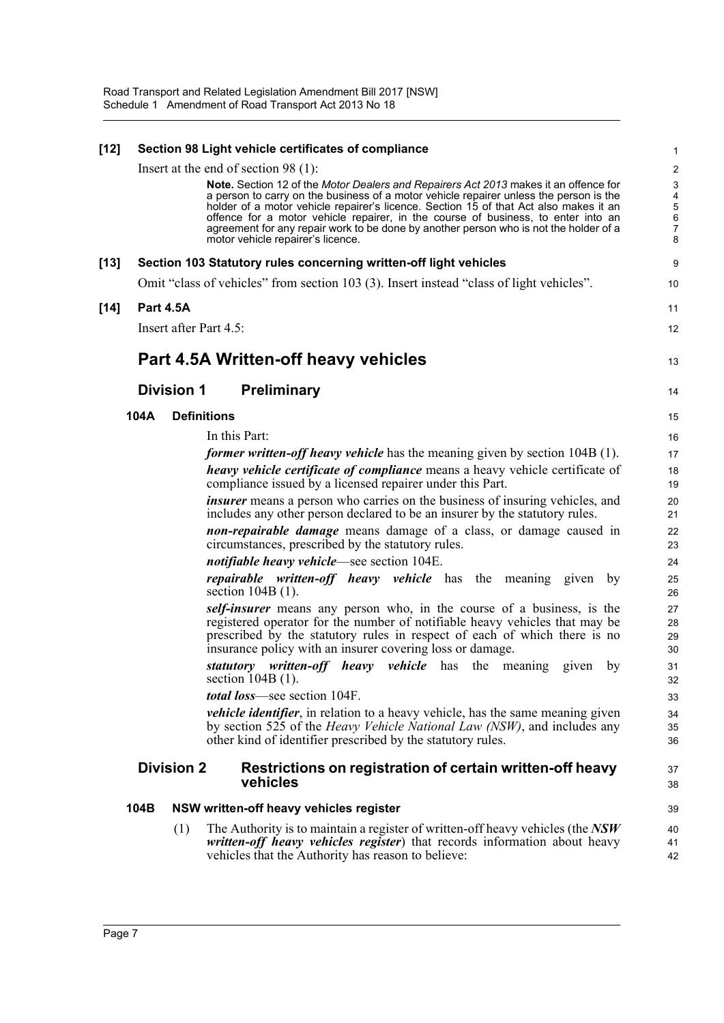| $[12]$ |      |                   | Section 98 Light vehicle certificates of compliance                                                                                                                                                                               | 1                         |
|--------|------|-------------------|-----------------------------------------------------------------------------------------------------------------------------------------------------------------------------------------------------------------------------------|---------------------------|
|        |      |                   | Insert at the end of section $98(1)$ :                                                                                                                                                                                            | 2                         |
|        |      |                   | <b>Note.</b> Section 12 of the Motor Dealers and Repairers Act 2013 makes it an offence for                                                                                                                                       | $\ensuremath{\mathsf{3}}$ |
|        |      |                   | a person to carry on the business of a motor vehicle repairer unless the person is the<br>holder of a motor vehicle repairer's licence. Section 15 of that Act also makes it an                                                   | 4<br>5                    |
|        |      |                   | offence for a motor vehicle repairer, in the course of business, to enter into an<br>agreement for any repair work to be done by another person who is not the holder of a                                                        | 6<br>$\boldsymbol{7}$     |
|        |      |                   | motor vehicle repairer's licence.                                                                                                                                                                                                 | 8                         |
| $[13]$ |      |                   | Section 103 Statutory rules concerning written-off light vehicles                                                                                                                                                                 | 9                         |
|        |      |                   | Omit "class of vehicles" from section 103 (3). Insert instead "class of light vehicles".                                                                                                                                          | 10                        |
| $[14]$ |      | <b>Part 4.5A</b>  |                                                                                                                                                                                                                                   | 11                        |
|        |      |                   | Insert after Part 4.5:                                                                                                                                                                                                            | 12                        |
|        |      |                   | Part 4.5A Written-off heavy vehicles                                                                                                                                                                                              | 13                        |
|        |      | <b>Division 1</b> | <b>Preliminary</b>                                                                                                                                                                                                                | 14                        |
|        | 104A |                   | <b>Definitions</b>                                                                                                                                                                                                                | 15                        |
|        |      |                   | In this Part:                                                                                                                                                                                                                     | 16                        |
|        |      |                   | <i>former written-off heavy vehicle</i> has the meaning given by section 104B (1).                                                                                                                                                | 17                        |
|        |      |                   | heavy vehicle certificate of compliance means a heavy vehicle certificate of                                                                                                                                                      | 18                        |
|        |      |                   | compliance issued by a licensed repairer under this Part.                                                                                                                                                                         | 19                        |
|        |      |                   | <i>insurer</i> means a person who carries on the business of insuring vehicles, and<br>includes any other person declared to be an insurer by the statutory rules.                                                                | 20<br>21                  |
|        |      |                   | <b>non-repairable damage</b> means damage of a class, or damage caused in<br>circumstances, prescribed by the statutory rules.                                                                                                    | 22<br>23                  |
|        |      |                   | <i>notifiable heavy vehicle</i> —see section 104E.                                                                                                                                                                                | 24                        |
|        |      |                   | <i>repairable written-off heavy vehicle</i> has the meaning given by<br>section $104B(1)$ .                                                                                                                                       | 25<br>26                  |
|        |      |                   | self-insurer means any person who, in the course of a business, is the<br>registered operator for the number of notifiable heavy vehicles that may be                                                                             | 27                        |
|        |      |                   | prescribed by the statutory rules in respect of each of which there is no                                                                                                                                                         | 28<br>29                  |
|        |      |                   | insurance policy with an insurer covering loss or damage.                                                                                                                                                                         | 30                        |
|        |      |                   | statutory written-off heavy vehicle has the meaning<br>by<br>given<br>section $104B(1)$ .                                                                                                                                         | 31<br>32                  |
|        |      |                   | <i>total loss</i> —see section 104F.                                                                                                                                                                                              | 33                        |
|        |      |                   | vehicle identifier, in relation to a heavy vehicle, has the same meaning given<br>by section 525 of the <i>Heavy Vehicle National Law (NSW)</i> , and includes any<br>other kind of identifier prescribed by the statutory rules. | 34<br>35<br>36            |
|        |      | <b>Division 2</b> | Restrictions on registration of certain written-off heavy                                                                                                                                                                         | 37                        |
|        |      |                   | vehicles                                                                                                                                                                                                                          | 38                        |
|        | 104B |                   | NSW written-off heavy vehicles register                                                                                                                                                                                           | 39                        |
|        |      | (1)               | The Authority is to maintain a register of written-off heavy vehicles (the $NSW$                                                                                                                                                  | 40                        |
|        |      |                   | written-off heavy vehicles register) that records information about heavy<br>vehicles that the Authority has reason to believe:                                                                                                   | 41<br>42                  |
|        |      |                   |                                                                                                                                                                                                                                   |                           |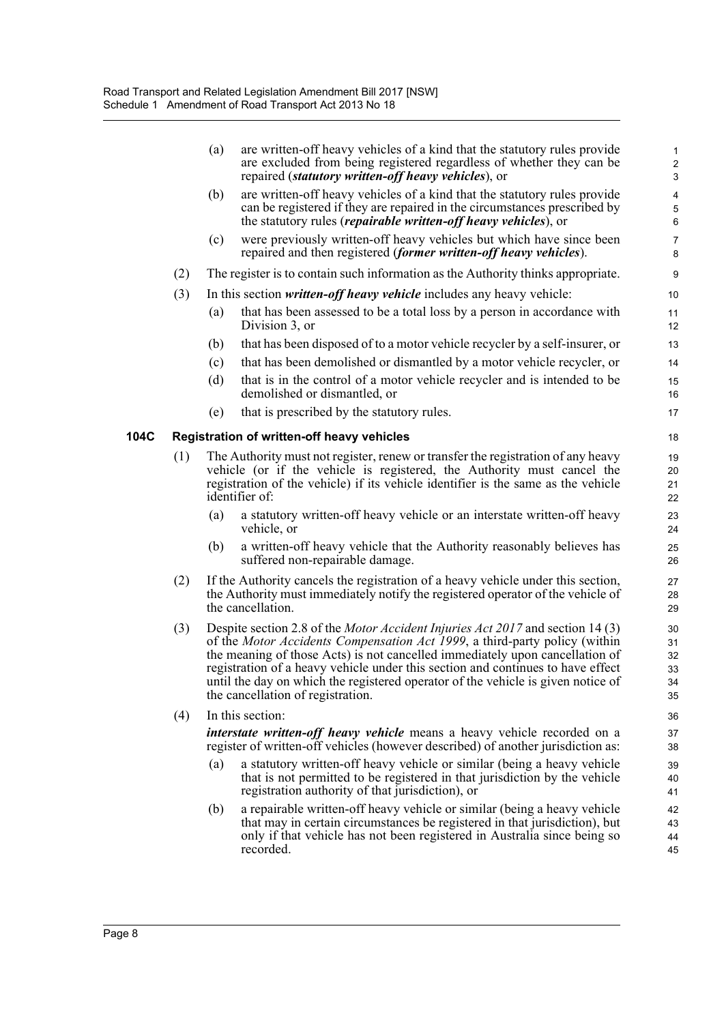|     | (a) | are written-off heavy vehicles of a kind that the statutory rules provide<br>are excluded from being registered regardless of whether they can be<br>repaired (statutory written-off heavy vehicles), or                                                                                                                                                                                                                                                        | $\mathbf{1}$<br>$\boldsymbol{2}$<br>3 |
|-----|-----|-----------------------------------------------------------------------------------------------------------------------------------------------------------------------------------------------------------------------------------------------------------------------------------------------------------------------------------------------------------------------------------------------------------------------------------------------------------------|---------------------------------------|
|     | (b) | are written-off heavy vehicles of a kind that the statutory rules provide<br>can be registered if they are repaired in the circumstances prescribed by<br>the statutory rules ( <i>repairable written-off heavy vehicles</i> ), or                                                                                                                                                                                                                              | 4<br>$\,$ 5 $\,$<br>6                 |
|     | (c) | were previously written-off heavy vehicles but which have since been<br>repaired and then registered (former written-off heavy vehicles).                                                                                                                                                                                                                                                                                                                       | $\overline{7}$<br>8                   |
| (2) |     | The register is to contain such information as the Authority thinks appropriate.                                                                                                                                                                                                                                                                                                                                                                                | 9                                     |
| (3) |     | In this section written-off heavy vehicle includes any heavy vehicle:                                                                                                                                                                                                                                                                                                                                                                                           | 10                                    |
|     | (a) | that has been assessed to be a total loss by a person in accordance with<br>Division 3, or                                                                                                                                                                                                                                                                                                                                                                      | 11<br>12                              |
|     | (b) | that has been disposed of to a motor vehicle recycler by a self-insurer, or                                                                                                                                                                                                                                                                                                                                                                                     | 13                                    |
|     | (c) | that has been demolished or dismantled by a motor vehicle recycler, or                                                                                                                                                                                                                                                                                                                                                                                          | 14                                    |
|     | (d) | that is in the control of a motor vehicle recycler and is intended to be<br>demolished or dismantled, or                                                                                                                                                                                                                                                                                                                                                        | 15<br>16                              |
|     | (e) | that is prescribed by the statutory rules.                                                                                                                                                                                                                                                                                                                                                                                                                      | 17                                    |
|     |     | <b>Registration of written-off heavy vehicles</b>                                                                                                                                                                                                                                                                                                                                                                                                               | 18                                    |
| (1) |     | The Authority must not register, renew or transfer the registration of any heavy<br>vehicle (or if the vehicle is registered, the Authority must cancel the<br>registration of the vehicle) if its vehicle identifier is the same as the vehicle<br>identifier of:                                                                                                                                                                                              | 19<br>20<br>21<br>22                  |
|     | (a) | a statutory written-off heavy vehicle or an interstate written-off heavy<br>vehicle, or                                                                                                                                                                                                                                                                                                                                                                         | 23<br>24                              |
|     | (b) | a written-off heavy vehicle that the Authority reasonably believes has<br>suffered non-repairable damage.                                                                                                                                                                                                                                                                                                                                                       | 25<br>26                              |
| (2) |     | If the Authority cancels the registration of a heavy vehicle under this section,<br>the Authority must immediately notify the registered operator of the vehicle of<br>the cancellation.                                                                                                                                                                                                                                                                        | 27<br>28<br>29                        |
| (3) |     | Despite section 2.8 of the <i>Motor Accident Injuries Act 2017</i> and section 14 (3)<br>of the Motor Accidents Compensation Act 1999, a third-party policy (within<br>the meaning of those Acts) is not cancelled immediately upon cancellation of<br>registration of a heavy vehicle under this section and continues to have effect<br>until the day on which the registered operator of the vehicle is given notice of<br>the cancellation of registration. | 30<br>31<br>32<br>33<br>34<br>35      |
| (4) |     | In this section:                                                                                                                                                                                                                                                                                                                                                                                                                                                | 36                                    |
|     |     | <i>interstate written-off heavy vehicle</i> means a heavy vehicle recorded on a<br>register of written-off vehicles (however described) of another jurisdiction as:                                                                                                                                                                                                                                                                                             | 37<br>38                              |
|     | (a) | a statutory written-off heavy vehicle or similar (being a heavy vehicle<br>that is not permitted to be registered in that jurisdiction by the vehicle<br>registration authority of that jurisdiction), or                                                                                                                                                                                                                                                       | 39<br>40<br>41                        |
|     | (b) | a repairable written-off heavy vehicle or similar (being a heavy vehicle<br>that may in certain circumstances be registered in that jurisdiction), but<br>only if that vehicle has not been registered in Australia since being so<br>recorded.                                                                                                                                                                                                                 | 42<br>43<br>44<br>45                  |
|     |     |                                                                                                                                                                                                                                                                                                                                                                                                                                                                 |                                       |

**104C Registration of written-off heavy vehicles**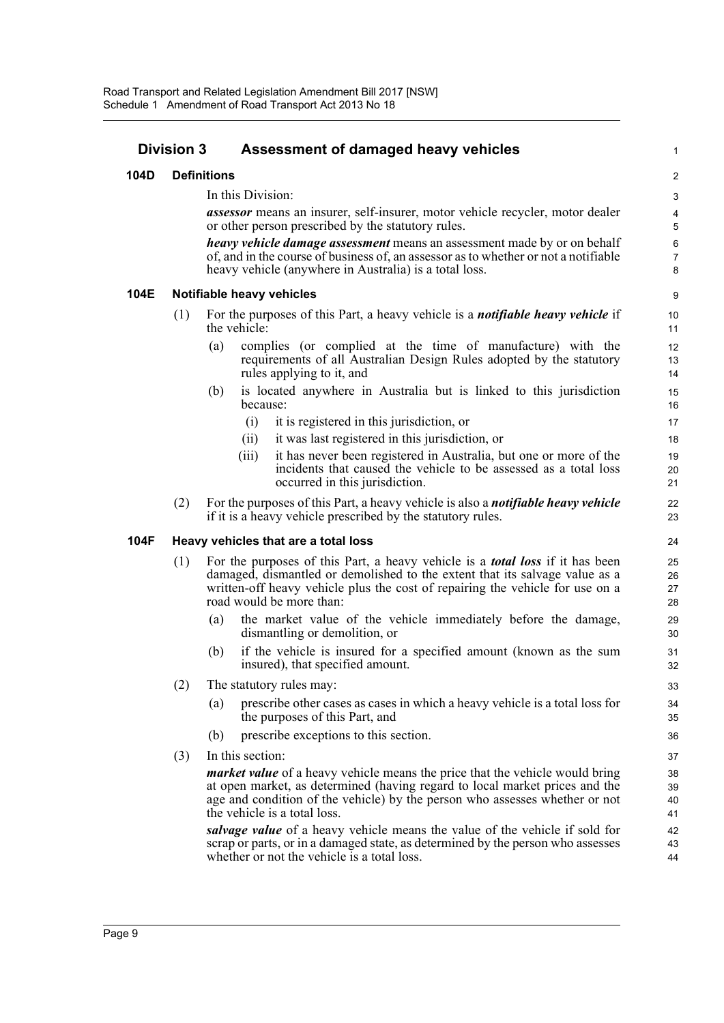| <b>Division 3</b> |     | Assessment of damaged heavy vehicles                                                                                                                                                                                                                                                    | 1                          |
|-------------------|-----|-----------------------------------------------------------------------------------------------------------------------------------------------------------------------------------------------------------------------------------------------------------------------------------------|----------------------------|
| 104D              |     | <b>Definitions</b>                                                                                                                                                                                                                                                                      | $\overline{c}$             |
|                   |     | In this Division:                                                                                                                                                                                                                                                                       | 3                          |
|                   |     | <b>assessor</b> means an insurer, self-insurer, motor vehicle recycler, motor dealer<br>or other person prescribed by the statutory rules.                                                                                                                                              | 4<br>5                     |
|                   |     | <i>heavy vehicle damage assessment</i> means an assessment made by or on behalf<br>of, and in the course of business of, an assessor as to whether or not a notifiable<br>heavy vehicle (anywhere in Australia) is a total loss.                                                        | $\boldsymbol{6}$<br>7<br>8 |
| 104E              |     | Notifiable heavy vehicles                                                                                                                                                                                                                                                               | 9                          |
|                   | (1) | For the purposes of this Part, a heavy vehicle is a <i>notifiable heavy vehicle</i> if<br>the vehicle:                                                                                                                                                                                  | 10<br>11                   |
|                   |     | complies (or complied at the time of manufacture) with the<br>(a)<br>requirements of all Australian Design Rules adopted by the statutory<br>rules applying to it, and                                                                                                                  | 12<br>13<br>14             |
|                   |     | is located anywhere in Australia but is linked to this jurisdiction<br>(b)<br>because:                                                                                                                                                                                                  | 15<br>16                   |
|                   |     | it is registered in this jurisdiction, or<br>(i)                                                                                                                                                                                                                                        | 17                         |
|                   |     | it was last registered in this jurisdiction, or<br>(ii)                                                                                                                                                                                                                                 | 18                         |
|                   |     | it has never been registered in Australia, but one or more of the<br>(iii)<br>incidents that caused the vehicle to be assessed as a total loss<br>occurred in this jurisdiction.                                                                                                        | 19<br>20<br>21             |
|                   | (2) | For the purposes of this Part, a heavy vehicle is also a <i>notifiable heavy vehicle</i><br>if it is a heavy vehicle prescribed by the statutory rules.                                                                                                                                 | 22<br>23                   |
| 104F              |     | Heavy vehicles that are a total loss                                                                                                                                                                                                                                                    | 24                         |
|                   | (1) | For the purposes of this Part, a heavy vehicle is a <b><i>total loss</i></b> if it has been<br>damaged, dismantled or demolished to the extent that its salvage value as a<br>written-off heavy vehicle plus the cost of repairing the vehicle for use on a<br>road would be more than: | 25<br>26<br>27<br>28       |
|                   |     | the market value of the vehicle immediately before the damage,<br>(a)<br>dismantling or demolition, or                                                                                                                                                                                  | 29<br>30                   |
|                   |     | if the vehicle is insured for a specified amount (known as the sum<br>(b)<br>insured), that specified amount.                                                                                                                                                                           | 31<br>32                   |
|                   | (2) | The statutory rules may:                                                                                                                                                                                                                                                                | 33                         |
|                   |     | prescribe other cases as cases in which a heavy vehicle is a total loss for<br>(a)<br>the purposes of this Part, and                                                                                                                                                                    | 34<br>35                   |
|                   |     | (b)<br>prescribe exceptions to this section.                                                                                                                                                                                                                                            | 36                         |
|                   | (3) | In this section:                                                                                                                                                                                                                                                                        | 37                         |
|                   |     | <i>market value</i> of a heavy vehicle means the price that the vehicle would bring<br>at open market, as determined (having regard to local market prices and the<br>age and condition of the vehicle) by the person who assesses whether or not<br>the vehicle is a total loss.       | 38<br>39<br>40<br>41       |
|                   |     | salvage value of a heavy vehicle means the value of the vehicle if sold for<br>scrap or parts, or in a damaged state, as determined by the person who assesses<br>whether or not the vehicle is a total loss.                                                                           | 42<br>43<br>44             |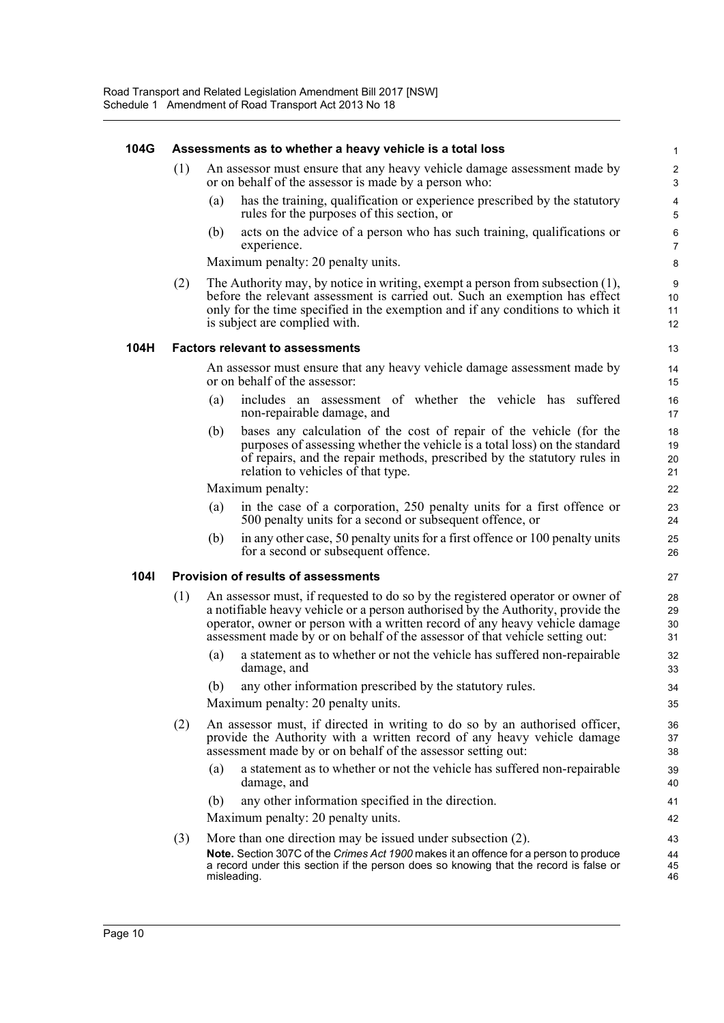#### **104G Assessments as to whether a heavy vehicle is a total loss**

- (1) An assessor must ensure that any heavy vehicle damage assessment made by or on behalf of the assessor is made by a person who:
	- (a) has the training, qualification or experience prescribed by the statutory rules for the purposes of this section, or

(b) acts on the advice of a person who has such training, qualifications or experience.

Maximum penalty: 20 penalty units.

(2) The Authority may, by notice in writing, exempt a person from subsection (1), before the relevant assessment is carried out. Such an exemption has effect only for the time specified in the exemption and if any conditions to which it is subject are complied with.

#### **104H Factors relevant to assessments**

An assessor must ensure that any heavy vehicle damage assessment made by or on behalf of the assessor:

- (a) includes an assessment of whether the vehicle has suffered non-repairable damage, and
- (b) bases any calculation of the cost of repair of the vehicle (for the purposes of assessing whether the vehicle is a total loss) on the standard of repairs, and the repair methods, prescribed by the statutory rules in relation to vehicles of that type.

Maximum penalty:

- (a) in the case of a corporation, 250 penalty units for a first offence or 500 penalty units for a second or subsequent offence, or
- (b) in any other case, 50 penalty units for a first offence or 100 penalty units for a second or subsequent offence.

#### **104I Provision of results of assessments**

- (1) An assessor must, if requested to do so by the registered operator or owner of a notifiable heavy vehicle or a person authorised by the Authority, provide the operator, owner or person with a written record of any heavy vehicle damage assessment made by or on behalf of the assessor of that vehicle setting out:
	- (a) a statement as to whether or not the vehicle has suffered non-repairable damage, and
	- (b) any other information prescribed by the statutory rules.

Maximum penalty: 20 penalty units.

- (2) An assessor must, if directed in writing to do so by an authorised officer, provide the Authority with a written record of any heavy vehicle damage assessment made by or on behalf of the assessor setting out:
	- (a) a statement as to whether or not the vehicle has suffered non-repairable damage, and
	- (b) any other information specified in the direction.

Maximum penalty: 20 penalty units.

(3) More than one direction may be issued under subsection (2). **Note.** Section 307C of the *Crimes Act 1900* makes it an offence for a person to produce a record under this section if the person does so knowing that the record is false or misleading. 43 44 45 46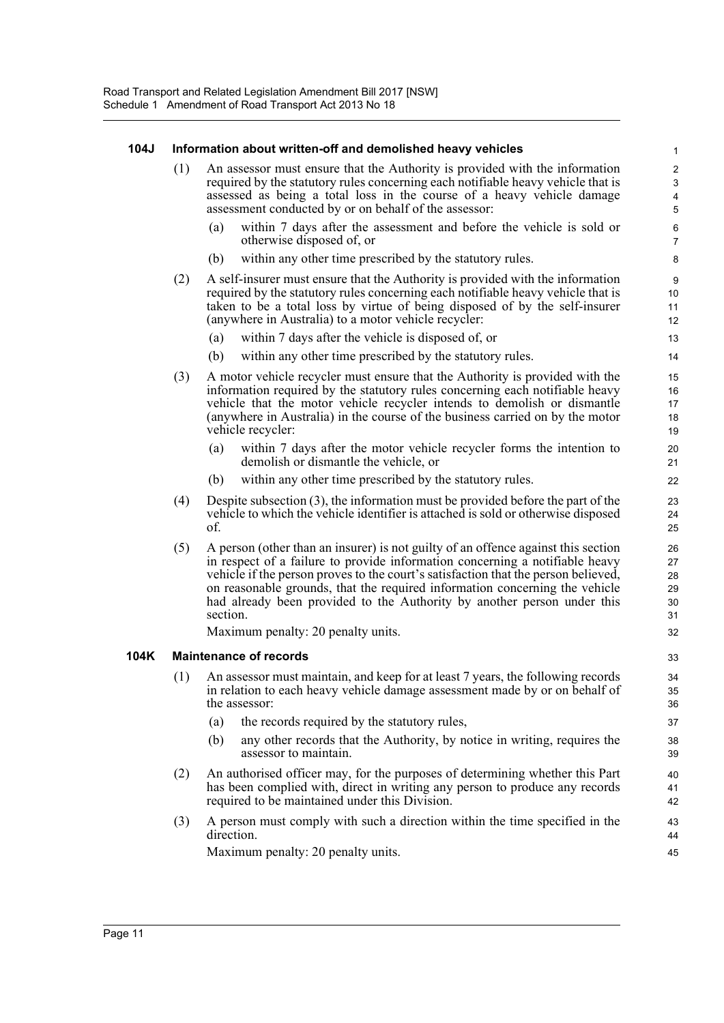#### **104J Information about written-off and demolished heavy vehicles**

- (1) An assessor must ensure that the Authority is provided with the information required by the statutory rules concerning each notifiable heavy vehicle that is assessed as being a total loss in the course of a heavy vehicle damage assessment conducted by or on behalf of the assessor:
	- within 7 days after the assessment and before the vehicle is sold or otherwise disposed of, or

- (b) within any other time prescribed by the statutory rules.
- (2) A self-insurer must ensure that the Authority is provided with the information required by the statutory rules concerning each notifiable heavy vehicle that is taken to be a total loss by virtue of being disposed of by the self-insurer (anywhere in Australia) to a motor vehicle recycler:
	- (a) within 7 days after the vehicle is disposed of, or
	- (b) within any other time prescribed by the statutory rules.
- (3) A motor vehicle recycler must ensure that the Authority is provided with the information required by the statutory rules concerning each notifiable heavy vehicle that the motor vehicle recycler intends to demolish or dismantle (anywhere in Australia) in the course of the business carried on by the motor vehicle recycler:
	- (a) within 7 days after the motor vehicle recycler forms the intention to demolish or dismantle the vehicle, or
	- (b) within any other time prescribed by the statutory rules.
- (4) Despite subsection (3), the information must be provided before the part of the vehicle to which the vehicle identifier is attached is sold or otherwise disposed of.
- (5) A person (other than an insurer) is not guilty of an offence against this section in respect of a failure to provide information concerning a notifiable heavy vehicle if the person proves to the court's satisfaction that the person believed, on reasonable grounds, that the required information concerning the vehicle had already been provided to the Authority by another person under this section.

Maximum penalty: 20 penalty units.

#### **104K Maintenance of records**

- (1) An assessor must maintain, and keep for at least 7 years, the following records in relation to each heavy vehicle damage assessment made by or on behalf of the assessor:
	- (a) the records required by the statutory rules,
	- (b) any other records that the Authority, by notice in writing, requires the assessor to maintain.
- (2) An authorised officer may, for the purposes of determining whether this Part has been complied with, direct in writing any person to produce any records required to be maintained under this Division.
- (3) A person must comply with such a direction within the time specified in the direction.

Maximum penalty: 20 penalty units.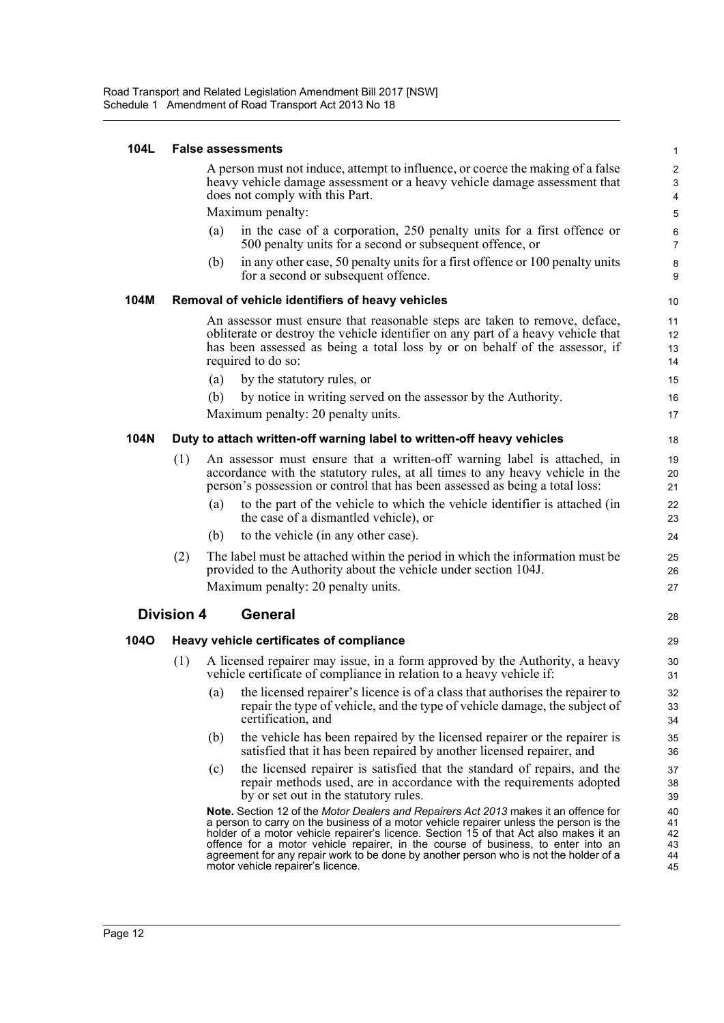#### **104L False assessments**

A person must not induce, attempt to influence, or coerce the making of a false heavy vehicle damage assessment or a heavy vehicle damage assessment that does not comply with this Part.

Maximum penalty:

- (a) in the case of a corporation, 250 penalty units for a first offence or 500 penalty units for a second or subsequent offence, or
- (b) in any other case, 50 penalty units for a first offence or 100 penalty units for a second or subsequent offence.

#### **104M Removal of vehicle identifiers of heavy vehicles**

An assessor must ensure that reasonable steps are taken to remove, deface, obliterate or destroy the vehicle identifier on any part of a heavy vehicle that has been assessed as being a total loss by or on behalf of the assessor, if required to do so:

- (a) by the statutory rules, or (b) by notice in writing served on the assessor by the Authority.
- Maximum penalty: 20 penalty units.

#### **104N Duty to attach written-off warning label to written-off heavy vehicles**

| (1) |     | An assessor must ensure that a written-off warning label is attached, in<br>accordance with the statutory rules, at all times to any heavy vehicle in the<br>person's possession or control that has been assessed as being a total loss: | 19<br>20<br>21 |
|-----|-----|-------------------------------------------------------------------------------------------------------------------------------------------------------------------------------------------------------------------------------------------|----------------|
|     | (a) | to the part of the vehicle to which the vehicle identifier is attached (in<br>the case of a dismantled vehicle), or                                                                                                                       | 22<br>23       |
|     | (b) | to the vehicle (in any other case).                                                                                                                                                                                                       | 24             |
| (2) |     | The label must be attached within the period in which the information must be<br>provided to the Authority about the vehicle under section 104J.                                                                                          | 25<br>26       |
|     |     | Maximum penalty: 20 penalty units.                                                                                                                                                                                                        | 27             |

#### **Division 4 General**

#### **104O Heavy vehicle certificates of compliance**

- (1) A licensed repairer may issue, in a form approved by the Authority, a heavy vehicle certificate of compliance in relation to a heavy vehicle if:
	- (a) the licensed repairer's licence is of a class that authorises the repairer to repair the type of vehicle, and the type of vehicle damage, the subject of certification, and
	- (b) the vehicle has been repaired by the licensed repairer or the repairer is satisfied that it has been repaired by another licensed repairer, and
	- (c) the licensed repairer is satisfied that the standard of repairs, and the repair methods used, are in accordance with the requirements adopted by or set out in the statutory rules.

**Note.** Section 12 of the *Motor Dealers and Repairers Act 2013* makes it an offence for a person to carry on the business of a motor vehicle repairer unless the person is the holder of a motor vehicle repairer's licence. Section 15 of that Act also makes it an offence for a motor vehicle repairer, in the course of business, to enter into an agreement for any repair work to be done by another person who is not the holder of a motor vehicle repairer's licence.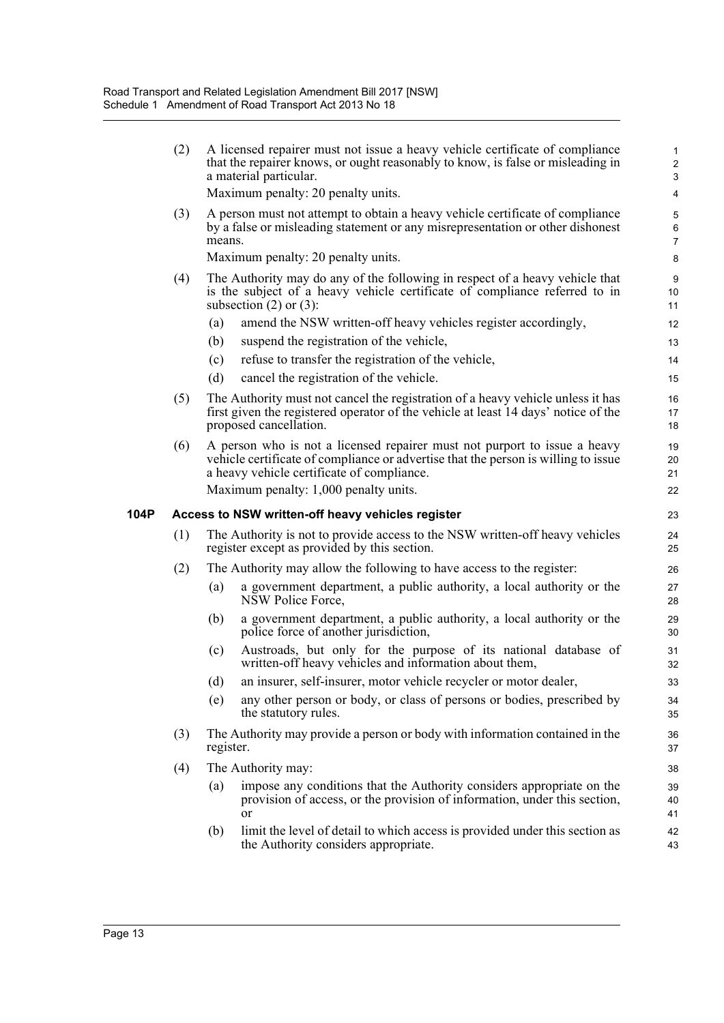|      | (2) |           | A licensed repairer must not issue a heavy vehicle certificate of compliance<br>that the repairer knows, or ought reasonably to know, is false or misleading in<br>a material particular.                                                              | $\mathbf{1}$<br>$\overline{2}$<br>3 |
|------|-----|-----------|--------------------------------------------------------------------------------------------------------------------------------------------------------------------------------------------------------------------------------------------------------|-------------------------------------|
|      |     |           | Maximum penalty: 20 penalty units.                                                                                                                                                                                                                     | 4                                   |
|      | (3) | means.    | A person must not attempt to obtain a heavy vehicle certificate of compliance<br>by a false or misleading statement or any misrepresentation or other dishonest<br>Maximum penalty: 20 penalty units.                                                  | 5<br>6<br>$\overline{7}$<br>8       |
|      | (4) |           | The Authority may do any of the following in respect of a heavy vehicle that                                                                                                                                                                           | 9                                   |
|      |     |           | is the subject of a heavy vehicle certificate of compliance referred to in<br>subsection $(2)$ or $(3)$ :                                                                                                                                              | 10<br>11                            |
|      |     | (a)       | amend the NSW written-off heavy vehicles register accordingly,                                                                                                                                                                                         | 12                                  |
|      |     | (b)       | suspend the registration of the vehicle,                                                                                                                                                                                                               | 13                                  |
|      |     | (c)       | refuse to transfer the registration of the vehicle,                                                                                                                                                                                                    | 14                                  |
|      |     | (d)       | cancel the registration of the vehicle.                                                                                                                                                                                                                | 15                                  |
|      | (5) |           | The Authority must not cancel the registration of a heavy vehicle unless it has<br>first given the registered operator of the vehicle at least 14 days' notice of the<br>proposed cancellation.                                                        | 16<br>17<br>18                      |
|      | (6) |           | A person who is not a licensed repairer must not purport to issue a heavy<br>vehicle certificate of compliance or advertise that the person is willing to issue<br>a heavy vehicle certificate of compliance.<br>Maximum penalty: 1,000 penalty units. | 19<br>20<br>21                      |
|      |     |           |                                                                                                                                                                                                                                                        | 22                                  |
|      |     |           |                                                                                                                                                                                                                                                        |                                     |
|      |     |           | Access to NSW written-off heavy vehicles register                                                                                                                                                                                                      | 23                                  |
| 104P | (1) |           | The Authority is not to provide access to the NSW written-off heavy vehicles<br>register except as provided by this section.                                                                                                                           | 24<br>25                            |
|      | (2) |           | The Authority may allow the following to have access to the register:                                                                                                                                                                                  | 26                                  |
|      |     | (a)       | a government department, a public authority, a local authority or the<br>NSW Police Force,                                                                                                                                                             | 27<br>28                            |
|      |     | (b)       | a government department, a public authority, a local authority or the<br>police force of another jurisdiction,                                                                                                                                         | 29<br>30                            |
|      |     | (c)       | Austroads, but only for the purpose of its national database of<br>written-off heavy vehicles and information about them,                                                                                                                              | 31<br>32                            |
|      |     | (d)       | an insurer, self-insurer, motor vehicle recycler or motor dealer,                                                                                                                                                                                      | 33                                  |
|      |     | (e)       | any other person or body, or class of persons or bodies, prescribed by<br>the statutory rules.                                                                                                                                                         | 34<br>35                            |
|      | (3) | register. | The Authority may provide a person or body with information contained in the                                                                                                                                                                           | $36\,$<br>37                        |
|      | (4) |           | The Authority may:                                                                                                                                                                                                                                     | 38                                  |
|      |     | (a)       | impose any conditions that the Authority considers appropriate on the<br>provision of access, or the provision of information, under this section,<br><sub>or</sub>                                                                                    | 39<br>40<br>41                      |
|      |     | (b)       | limit the level of detail to which access is provided under this section as<br>the Authority considers appropriate.                                                                                                                                    |                                     |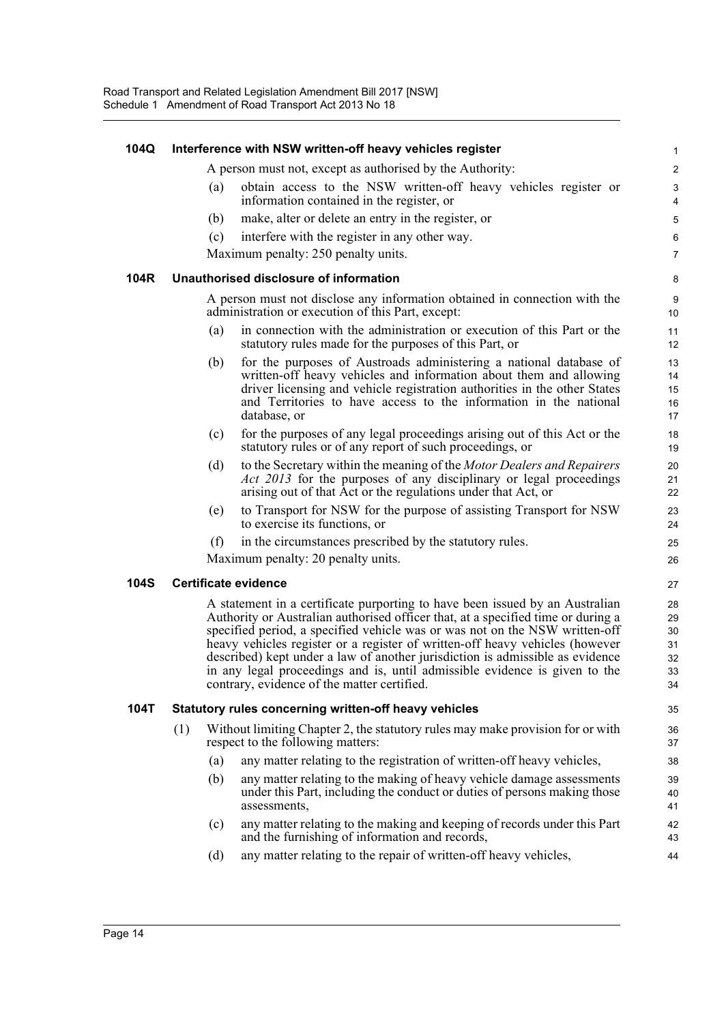| 104Q        |     |     | Interference with NSW written-off heavy vehicles register                                                                                                                                                                                                                                                                                                                                                                                                                                                                                     | 1                                      |
|-------------|-----|-----|-----------------------------------------------------------------------------------------------------------------------------------------------------------------------------------------------------------------------------------------------------------------------------------------------------------------------------------------------------------------------------------------------------------------------------------------------------------------------------------------------------------------------------------------------|----------------------------------------|
|             |     |     | A person must not, except as authorised by the Authority:                                                                                                                                                                                                                                                                                                                                                                                                                                                                                     | $\overline{c}$                         |
|             |     | (a) | obtain access to the NSW written-off heavy vehicles register or<br>information contained in the register, or                                                                                                                                                                                                                                                                                                                                                                                                                                  | 3<br>4                                 |
|             |     | (b) | make, alter or delete an entry in the register, or                                                                                                                                                                                                                                                                                                                                                                                                                                                                                            | 5                                      |
|             |     | (c) | interfere with the register in any other way.                                                                                                                                                                                                                                                                                                                                                                                                                                                                                                 | 6                                      |
|             |     |     | Maximum penalty: 250 penalty units.                                                                                                                                                                                                                                                                                                                                                                                                                                                                                                           | $\overline{7}$                         |
| 104R        |     |     | Unauthorised disclosure of information                                                                                                                                                                                                                                                                                                                                                                                                                                                                                                        | 8                                      |
|             |     |     | A person must not disclose any information obtained in connection with the<br>administration or execution of this Part, except:                                                                                                                                                                                                                                                                                                                                                                                                               | 9<br>10                                |
|             |     | (a) | in connection with the administration or execution of this Part or the<br>statutory rules made for the purposes of this Part, or                                                                                                                                                                                                                                                                                                                                                                                                              | 11<br>12                               |
|             |     | (b) | for the purposes of Austroads administering a national database of<br>written-off heavy vehicles and information about them and allowing<br>driver licensing and vehicle registration authorities in the other States<br>and Territories to have access to the information in the national<br>database, or                                                                                                                                                                                                                                    | 13<br>14<br>15<br>16<br>17             |
|             |     | (c) | for the purposes of any legal proceedings arising out of this Act or the<br>statutory rules or of any report of such proceedings, or                                                                                                                                                                                                                                                                                                                                                                                                          | 18<br>19                               |
|             |     | (d) | to the Secretary within the meaning of the Motor Dealers and Repairers<br><i>Act 2013</i> for the purposes of any disciplinary or legal proceedings<br>arising out of that Act or the regulations under that Act, or                                                                                                                                                                                                                                                                                                                          | 20<br>21<br>22                         |
|             |     | (e) | to Transport for NSW for the purpose of assisting Transport for NSW<br>to exercise its functions, or                                                                                                                                                                                                                                                                                                                                                                                                                                          | 23<br>24                               |
|             |     | (f) | in the circumstances prescribed by the statutory rules.                                                                                                                                                                                                                                                                                                                                                                                                                                                                                       | 25                                     |
|             |     |     | Maximum penalty: 20 penalty units.                                                                                                                                                                                                                                                                                                                                                                                                                                                                                                            | 26                                     |
| <b>104S</b> |     |     | <b>Certificate evidence</b>                                                                                                                                                                                                                                                                                                                                                                                                                                                                                                                   | 27                                     |
|             |     |     | A statement in a certificate purporting to have been issued by an Australian<br>Authority or Australian authorised officer that, at a specified time or during a<br>specified period, a specified vehicle was or was not on the NSW written-off<br>heavy vehicles register or a register of written-off heavy vehicles (however<br>described) kept under a law of another jurisdiction is admissible as evidence<br>in any legal proceedings and is, until admissible evidence is given to the<br>contrary, evidence of the matter certified. | 28<br>29<br>30<br>31<br>32<br>33<br>34 |
| 104T        |     |     | Statutory rules concerning written-off heavy vehicles                                                                                                                                                                                                                                                                                                                                                                                                                                                                                         | 35                                     |
|             | (1) |     | Without limiting Chapter 2, the statutory rules may make provision for or with<br>respect to the following matters:                                                                                                                                                                                                                                                                                                                                                                                                                           | 36<br>37                               |
|             |     | (a) | any matter relating to the registration of written-off heavy vehicles,                                                                                                                                                                                                                                                                                                                                                                                                                                                                        | 38                                     |
|             |     | (b) | any matter relating to the making of heavy vehicle damage assessments<br>under this Part, including the conduct or duties of persons making those<br>assessments,                                                                                                                                                                                                                                                                                                                                                                             | 39<br>40<br>41                         |
|             |     | (c) | any matter relating to the making and keeping of records under this Part<br>and the furnishing of information and records,                                                                                                                                                                                                                                                                                                                                                                                                                    | 42<br>43                               |
|             |     | (d) | any matter relating to the repair of written-off heavy vehicles,                                                                                                                                                                                                                                                                                                                                                                                                                                                                              | 44                                     |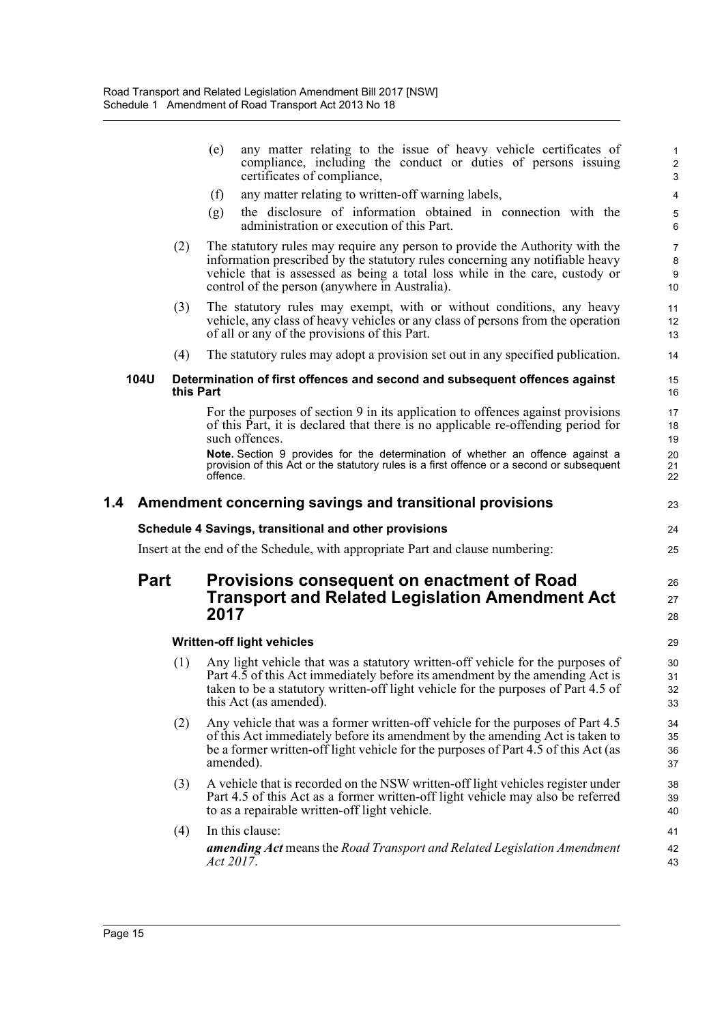|     |             |           | any matter relating to the issue of heavy vehicle certificates of<br>(e)<br>compliance, including the conduct or duties of persons issuing<br>certificates of compliance,                                                                                                                                                                                            | $\mathbf{1}$<br>$\overline{c}$<br>$\mathsf 3$ |
|-----|-------------|-----------|----------------------------------------------------------------------------------------------------------------------------------------------------------------------------------------------------------------------------------------------------------------------------------------------------------------------------------------------------------------------|-----------------------------------------------|
|     |             |           | any matter relating to written-off warning labels,<br>(f)                                                                                                                                                                                                                                                                                                            | 4                                             |
|     |             |           | the disclosure of information obtained in connection with the<br>(g)<br>administration or execution of this Part.                                                                                                                                                                                                                                                    | $\sqrt{5}$<br>6                               |
|     |             | (2)       | The statutory rules may require any person to provide the Authority with the<br>information prescribed by the statutory rules concerning any notifiable heavy<br>vehicle that is assessed as being a total loss while in the care, custody or<br>control of the person (anywhere in Australia).                                                                      | 7<br>8<br>9<br>10                             |
|     |             | (3)       | The statutory rules may exempt, with or without conditions, any heavy<br>vehicle, any class of heavy vehicles or any class of persons from the operation<br>of all or any of the provisions of this Part.                                                                                                                                                            | 11<br>12<br>13                                |
|     |             | (4)       | The statutory rules may adopt a provision set out in any specified publication.                                                                                                                                                                                                                                                                                      | 14                                            |
|     | <b>104U</b> | this Part | Determination of first offences and second and subsequent offences against                                                                                                                                                                                                                                                                                           | 15<br>16                                      |
|     |             |           | For the purposes of section 9 in its application to offences against provisions<br>of this Part, it is declared that there is no applicable re-offending period for<br>such offences.<br>Note. Section 9 provides for the determination of whether an offence against a<br>provision of this Act or the statutory rules is a first offence or a second or subsequent | 17<br>18<br>19<br>20<br>21                    |
|     |             |           | offence.                                                                                                                                                                                                                                                                                                                                                             | 22                                            |
| 1.4 |             |           | Amendment concerning savings and transitional provisions                                                                                                                                                                                                                                                                                                             | 23                                            |
|     |             |           | Schedule 4 Savings, transitional and other provisions                                                                                                                                                                                                                                                                                                                | 24                                            |
|     |             |           | Insert at the end of the Schedule, with appropriate Part and clause numbering:                                                                                                                                                                                                                                                                                       | 25                                            |
|     | <b>Part</b> |           | Provisions consequent on enactment of Road<br><b>Transport and Related Legislation Amendment Act</b><br>2017                                                                                                                                                                                                                                                         | 26<br>27<br>28                                |
|     |             |           | <b>Written-off light vehicles</b>                                                                                                                                                                                                                                                                                                                                    | 29                                            |
|     |             | (1)       | Any light vehicle that was a statutory written-off vehicle for the purposes of<br>Part 4.5 of this Act immediately before its amendment by the amending Act is<br>taken to be a statutory written-off light vehicle for the purposes of Part 4.5 of<br>this Act (as amended).                                                                                        | 30<br>31<br>32<br>33                          |
|     |             | (2)       | Any vehicle that was a former written-off vehicle for the purposes of Part 4.5<br>of this Act immediately before its amendment by the amending Act is taken to<br>be a former written-off light vehicle for the purposes of Part 4.5 of this Act (as<br>amended).                                                                                                    | 34<br>35<br>36<br>37                          |
|     |             |           |                                                                                                                                                                                                                                                                                                                                                                      |                                               |
|     |             | (3)       | A vehicle that is recorded on the NSW written-off light vehicles register under<br>Part 4.5 of this Act as a former written-off light vehicle may also be referred<br>to as a repairable written-off light vehicle.                                                                                                                                                  | 38<br>39<br>40                                |
|     |             | (4)       | In this clause:                                                                                                                                                                                                                                                                                                                                                      | 41                                            |
|     |             |           | <b>amending Act</b> means the Road Transport and Related Legislation Amendment<br>Act 2017.                                                                                                                                                                                                                                                                          | 42<br>43                                      |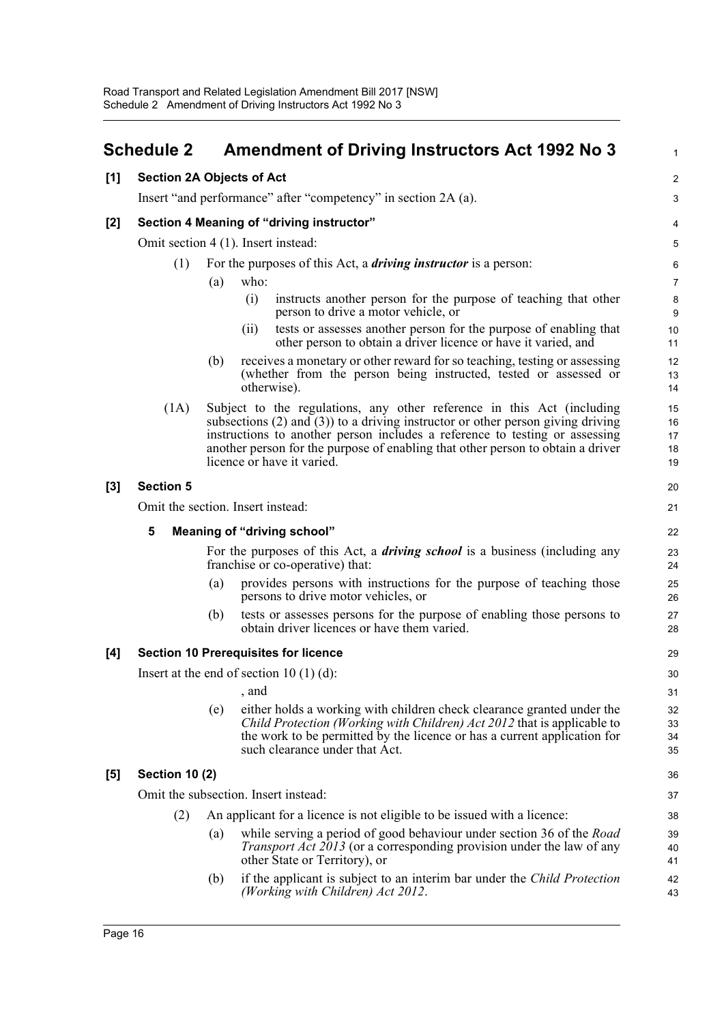<span id="page-22-0"></span>

|       | <b>Schedule 2</b>                |     | <b>Amendment of Driving Instructors Act 1992 No 3</b>                                                                                                                                                                                                                                                                                                          | $\mathbf{1}$               |
|-------|----------------------------------|-----|----------------------------------------------------------------------------------------------------------------------------------------------------------------------------------------------------------------------------------------------------------------------------------------------------------------------------------------------------------------|----------------------------|
| [1]   | <b>Section 2A Objects of Act</b> |     |                                                                                                                                                                                                                                                                                                                                                                | $\boldsymbol{2}$           |
|       |                                  |     | Insert "and performance" after "competency" in section 2A (a).                                                                                                                                                                                                                                                                                                 | 3                          |
| $[2]$ |                                  |     | Section 4 Meaning of "driving instructor"                                                                                                                                                                                                                                                                                                                      | 4                          |
|       |                                  |     | Omit section 4 (1). Insert instead:                                                                                                                                                                                                                                                                                                                            | 5                          |
|       | (1)                              |     | For the purposes of this Act, a <i>driving instructor</i> is a person:                                                                                                                                                                                                                                                                                         | 6                          |
|       |                                  | (a) | who:                                                                                                                                                                                                                                                                                                                                                           | $\overline{7}$             |
|       |                                  |     | (i)<br>instructs another person for the purpose of teaching that other<br>person to drive a motor vehicle, or                                                                                                                                                                                                                                                  | 8<br>9                     |
|       |                                  |     | tests or assesses another person for the purpose of enabling that<br>(i)<br>other person to obtain a driver licence or have it varied, and                                                                                                                                                                                                                     | 10<br>11                   |
|       |                                  | (b) | receives a monetary or other reward for so teaching, testing or assessing<br>(whether from the person being instructed, tested or assessed or<br>otherwise).                                                                                                                                                                                                   | 12<br>13<br>14             |
|       | (1A)                             |     | Subject to the regulations, any other reference in this Act (including<br>subsections $(2)$ and $(3)$ ) to a driving instructor or other person giving driving<br>instructions to another person includes a reference to testing or assessing<br>another person for the purpose of enabling that other person to obtain a driver<br>licence or have it varied. | 15<br>16<br>17<br>18<br>19 |
| $[3]$ | <b>Section 5</b>                 |     |                                                                                                                                                                                                                                                                                                                                                                | 20                         |
|       |                                  |     | Omit the section. Insert instead:                                                                                                                                                                                                                                                                                                                              | 21                         |
|       | 5                                |     | <b>Meaning of "driving school"</b>                                                                                                                                                                                                                                                                                                                             | 22                         |
|       |                                  |     | For the purposes of this Act, a <i>driving school</i> is a business (including any<br>franchise or co-operative) that:                                                                                                                                                                                                                                         | 23<br>24                   |
|       |                                  | (a) | provides persons with instructions for the purpose of teaching those<br>persons to drive motor vehicles, or                                                                                                                                                                                                                                                    | 25<br>26                   |
|       |                                  | (b) | tests or assesses persons for the purpose of enabling those persons to<br>obtain driver licences or have them varied.                                                                                                                                                                                                                                          | 27<br>28                   |
| [4]   |                                  |     | <b>Section 10 Prerequisites for licence</b>                                                                                                                                                                                                                                                                                                                    | 29                         |
|       |                                  |     | Insert at the end of section $10(1)(d)$ :                                                                                                                                                                                                                                                                                                                      | 30                         |
|       |                                  |     | , and                                                                                                                                                                                                                                                                                                                                                          | 31                         |
|       |                                  | (e) | either holds a working with children check clearance granted under the<br><i>Child Protection (Working with Children) Act 2012</i> that is applicable to<br>the work to be permitted by the licence or has a current application for<br>such clearance under that Act.                                                                                         | 32<br>33<br>34<br>35       |
| $[5]$ | <b>Section 10 (2)</b>            |     |                                                                                                                                                                                                                                                                                                                                                                | 36                         |
|       |                                  |     | Omit the subsection. Insert instead:                                                                                                                                                                                                                                                                                                                           | 37                         |
|       | (2)                              |     | An applicant for a licence is not eligible to be issued with a licence:                                                                                                                                                                                                                                                                                        | 38                         |
|       |                                  | (a) | while serving a period of good behaviour under section 36 of the <i>Road</i><br><i>Transport Act 2013</i> (or a corresponding provision under the law of any<br>other State or Territory), or                                                                                                                                                                  | 39<br>40<br>41             |
|       |                                  | (b) | if the applicant is subject to an interim bar under the <i>Child Protection</i><br>(Working with Children) Act 2012.                                                                                                                                                                                                                                           | 42<br>43                   |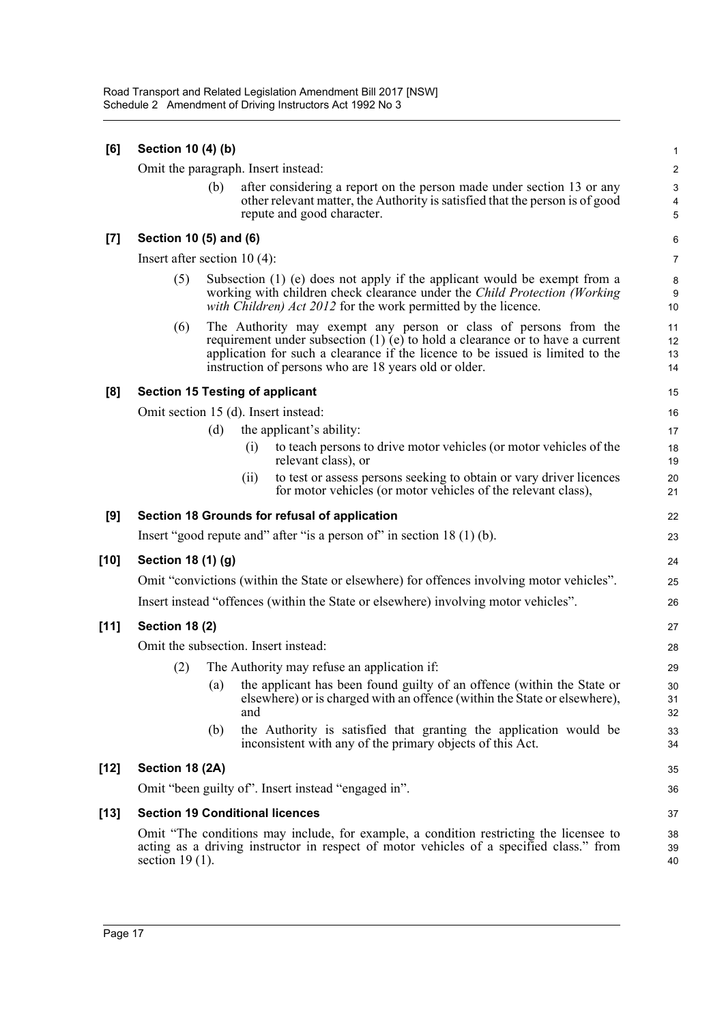| [6]    | Section 10 (4) (b)                     |     |     |                                                                                                                                                                                                                                                                                                | $\mathbf{1}$                               |
|--------|----------------------------------------|-----|-----|------------------------------------------------------------------------------------------------------------------------------------------------------------------------------------------------------------------------------------------------------------------------------------------------|--------------------------------------------|
|        | Omit the paragraph. Insert instead:    |     |     |                                                                                                                                                                                                                                                                                                | $\sqrt{2}$                                 |
|        |                                        | (b) |     | after considering a report on the person made under section 13 or any<br>other relevant matter, the Authority is satisfied that the person is of good<br>repute and good character.                                                                                                            | $\sqrt{3}$<br>$\overline{\mathbf{4}}$<br>5 |
| [7]    | Section 10 (5) and (6)                 |     |     |                                                                                                                                                                                                                                                                                                | 6                                          |
|        | Insert after section $10(4)$ :         |     |     |                                                                                                                                                                                                                                                                                                | $\overline{7}$                             |
|        | (5)                                    |     |     | Subsection $(1)$ (e) does not apply if the applicant would be exempt from a<br>working with children check clearance under the Child Protection (Working<br>with Children) Act 2012 for the work permitted by the licence.                                                                     | 8<br>9<br>10                               |
|        | (6)                                    |     |     | The Authority may exempt any person or class of persons from the<br>requirement under subsection $(1)$ (e) to hold a clearance or to have a current<br>application for such a clearance if the licence to be issued is limited to the<br>instruction of persons who are 18 years old or older. | 11<br>12<br>13<br>14                       |
| [8]    | <b>Section 15 Testing of applicant</b> |     |     |                                                                                                                                                                                                                                                                                                | 15                                         |
|        | Omit section 15 (d). Insert instead:   |     |     |                                                                                                                                                                                                                                                                                                | 16                                         |
|        |                                        | (d) |     | the applicant's ability:                                                                                                                                                                                                                                                                       | 17                                         |
|        |                                        |     | (i) | to teach persons to drive motor vehicles (or motor vehicles of the<br>relevant class), or                                                                                                                                                                                                      | 18<br>19                                   |
|        |                                        |     | (i) | to test or assess persons seeking to obtain or vary driver licences<br>for motor vehicles (or motor vehicles of the relevant class),                                                                                                                                                           | 20<br>21                                   |
| [9]    |                                        |     |     | Section 18 Grounds for refusal of application                                                                                                                                                                                                                                                  | 22                                         |
|        |                                        |     |     | Insert "good repute and" after "is a person of" in section $18(1)(b)$ .                                                                                                                                                                                                                        | 23                                         |
| [10]   | Section 18 (1) (g)                     |     |     |                                                                                                                                                                                                                                                                                                | 24                                         |
|        |                                        |     |     | Omit "convictions (within the State or elsewhere) for offences involving motor vehicles".                                                                                                                                                                                                      | 25                                         |
|        |                                        |     |     | Insert instead "offences (within the State or elsewhere) involving motor vehicles".                                                                                                                                                                                                            | 26                                         |
| $[11]$ | <b>Section 18 (2)</b>                  |     |     |                                                                                                                                                                                                                                                                                                | 27                                         |
|        | Omit the subsection. Insert instead:   |     |     |                                                                                                                                                                                                                                                                                                | 28                                         |
|        | (2)                                    |     |     | The Authority may refuse an application if:                                                                                                                                                                                                                                                    | 29                                         |
|        |                                        |     | and | (a) the applicant has been found guilty of an offence (within the State or<br>elsewhere) or is charged with an offence (within the State or elsewhere),                                                                                                                                        | 30<br>31<br>32                             |
|        |                                        | (b) |     | the Authority is satisfied that granting the application would be<br>inconsistent with any of the primary objects of this Act.                                                                                                                                                                 | 33<br>34                                   |
| [12]   | Section 18 (2A)                        |     |     |                                                                                                                                                                                                                                                                                                | 35                                         |
|        |                                        |     |     | Omit "been guilty of". Insert instead "engaged in".                                                                                                                                                                                                                                            | 36                                         |
| [13]   | <b>Section 19 Conditional licences</b> |     |     |                                                                                                                                                                                                                                                                                                | 37                                         |
|        | section $19(1)$ .                      |     |     | Omit "The conditions may include, for example, a condition restricting the licensee to<br>acting as a driving instructor in respect of motor vehicles of a specified class." from                                                                                                              | 38<br>39<br>40                             |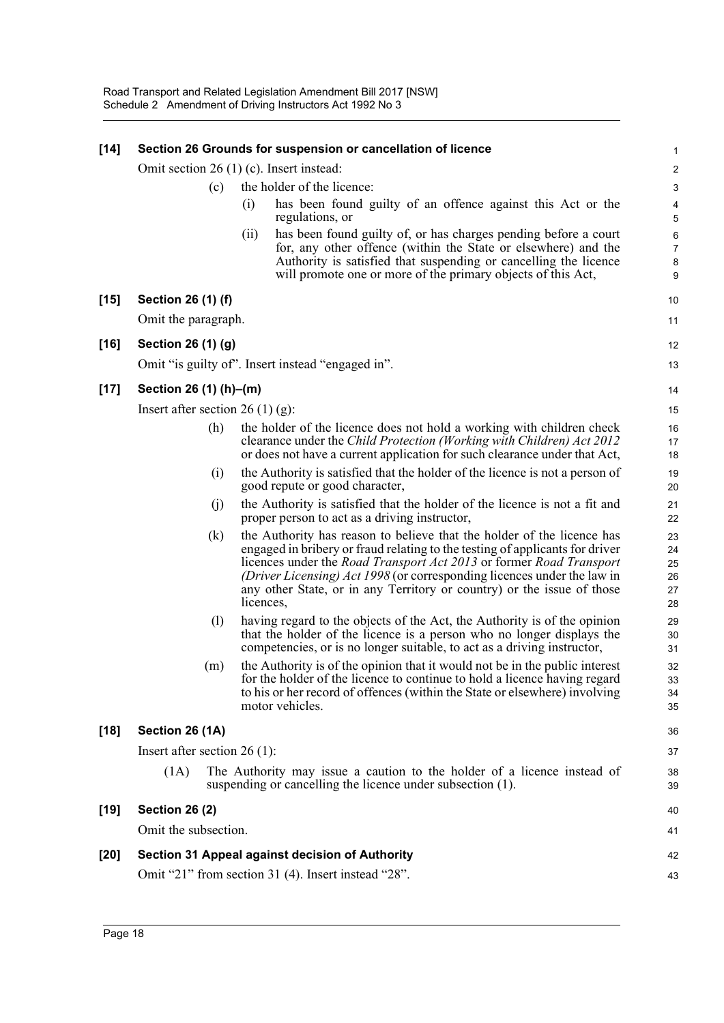| $[14]$ |                                  |     |           | Section 26 Grounds for suspension or cancellation of licence                                                                                                                                                                                                                                                                                                                                     | 1                                |
|--------|----------------------------------|-----|-----------|--------------------------------------------------------------------------------------------------------------------------------------------------------------------------------------------------------------------------------------------------------------------------------------------------------------------------------------------------------------------------------------------------|----------------------------------|
|        |                                  |     |           | Omit section 26 (1) (c). Insert instead:                                                                                                                                                                                                                                                                                                                                                         | $\overline{\mathbf{c}}$          |
|        |                                  | (c) |           | the holder of the licence:                                                                                                                                                                                                                                                                                                                                                                       | 3                                |
|        |                                  |     | (i)       | has been found guilty of an offence against this Act or the<br>regulations, or                                                                                                                                                                                                                                                                                                                   | 4<br>5                           |
|        |                                  |     | (ii)      | has been found guilty of, or has charges pending before a court<br>for, any other offence (within the State or elsewhere) and the<br>Authority is satisfied that suspending or cancelling the licence<br>will promote one or more of the primary objects of this Act,                                                                                                                            | 6<br>7<br>8<br>9                 |
| $[15]$ | Section 26 (1) (f)               |     |           |                                                                                                                                                                                                                                                                                                                                                                                                  | 10                               |
|        | Omit the paragraph.              |     |           |                                                                                                                                                                                                                                                                                                                                                                                                  | 11                               |
| $[16]$ | Section 26 (1) (g)               |     |           |                                                                                                                                                                                                                                                                                                                                                                                                  | 12                               |
|        |                                  |     |           | Omit "is guilty of". Insert instead "engaged in".                                                                                                                                                                                                                                                                                                                                                | 13                               |
| $[17]$ | Section 26 (1) (h)–(m)           |     |           |                                                                                                                                                                                                                                                                                                                                                                                                  | 14                               |
|        | Insert after section 26 (1) (g): |     |           |                                                                                                                                                                                                                                                                                                                                                                                                  | 15                               |
|        |                                  | (h) |           | the holder of the licence does not hold a working with children check<br>clearance under the Child Protection (Working with Children) Act 2012<br>or does not have a current application for such clearance under that Act,                                                                                                                                                                      | 16<br>17<br>18                   |
|        |                                  | (i) |           | the Authority is satisfied that the holder of the licence is not a person of<br>good repute or good character,                                                                                                                                                                                                                                                                                   | 19<br>20                         |
|        |                                  | (i) |           | the Authority is satisfied that the holder of the licence is not a fit and<br>proper person to act as a driving instructor,                                                                                                                                                                                                                                                                      | 21<br>22                         |
|        |                                  | (k) | licences, | the Authority has reason to believe that the holder of the licence has<br>engaged in bribery or fraud relating to the testing of applicants for driver<br>licences under the <i>Road Transport Act 2013</i> or former <i>Road Transport</i><br>(Driver Licensing) Act 1998 (or corresponding licences under the law in<br>any other State, or in any Territory or country) or the issue of those | 23<br>24<br>25<br>26<br>27<br>28 |
|        |                                  | (1) |           | having regard to the objects of the Act, the Authority is of the opinion<br>that the holder of the licence is a person who no longer displays the<br>competencies, or is no longer suitable, to act as a driving instructor,                                                                                                                                                                     | 29<br>30<br>31                   |
|        |                                  | (m) |           | the Authority is of the opinion that it would not be in the public interest<br>for the holder of the licence to continue to hold a licence having regard<br>to his or her record of offences (within the State or elsewhere) involving<br>motor vehicles.                                                                                                                                        | 32<br>33<br>34<br>35             |
| $[18]$ | Section 26 (1A)                  |     |           |                                                                                                                                                                                                                                                                                                                                                                                                  | 36                               |
|        | Insert after section $26(1)$ :   |     |           |                                                                                                                                                                                                                                                                                                                                                                                                  | 37                               |
|        | (1A)                             |     |           | The Authority may issue a caution to the holder of a licence instead of<br>suspending or cancelling the licence under subsection (1).                                                                                                                                                                                                                                                            | 38<br>39                         |
| $[19]$ | <b>Section 26 (2)</b>            |     |           |                                                                                                                                                                                                                                                                                                                                                                                                  | 40                               |
|        | Omit the subsection.             |     |           |                                                                                                                                                                                                                                                                                                                                                                                                  | 41                               |
| $[20]$ |                                  |     |           | Section 31 Appeal against decision of Authority                                                                                                                                                                                                                                                                                                                                                  | 42                               |
|        |                                  |     |           | Omit "21" from section 31 (4). Insert instead "28".                                                                                                                                                                                                                                                                                                                                              | 43                               |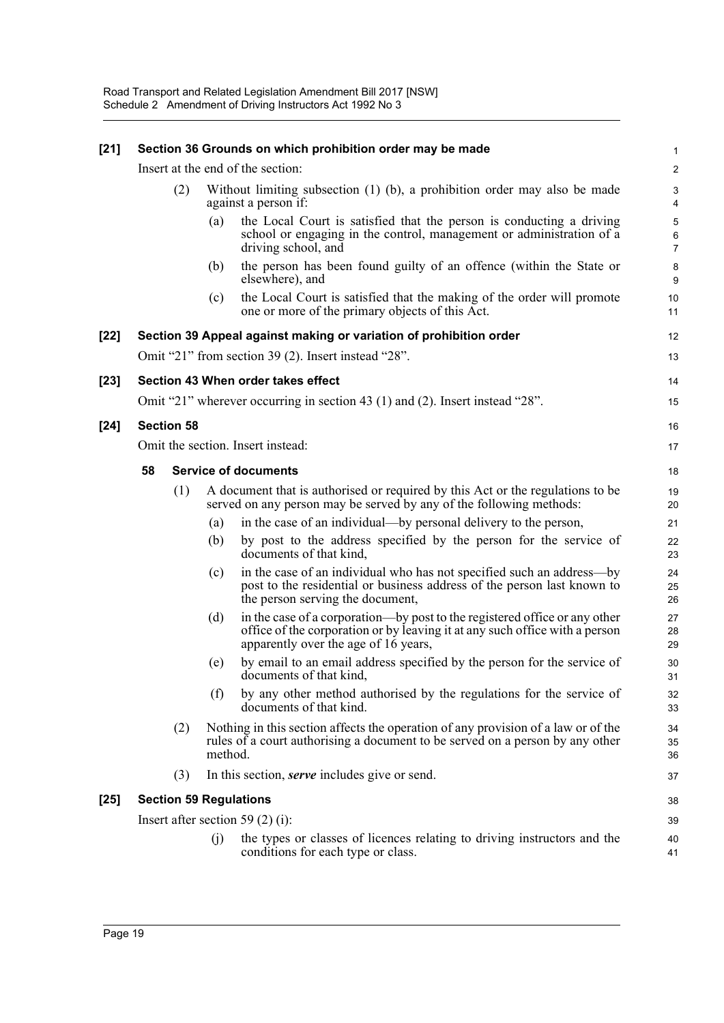| $[21]$ |                               |         | Section 36 Grounds on which prohibition order may be made                                                                                                                                         | 1              |  |  |  |  |
|--------|-------------------------------|---------|---------------------------------------------------------------------------------------------------------------------------------------------------------------------------------------------------|----------------|--|--|--|--|
|        |                               |         | Insert at the end of the section:                                                                                                                                                                 | 2              |  |  |  |  |
|        | (2)                           |         | Without limiting subsection $(1)$ $(b)$ , a prohibition order may also be made<br>against a person if:                                                                                            |                |  |  |  |  |
|        |                               | (a)     | the Local Court is satisfied that the person is conducting a driving<br>school or engaging in the control, management or administration of a<br>driving school, and                               | 5<br>6<br>7    |  |  |  |  |
|        |                               | (b)     | the person has been found guilty of an offence (within the State or<br>elsewhere), and                                                                                                            | 8<br>9         |  |  |  |  |
|        |                               | (c)     | the Local Court is satisfied that the making of the order will promote<br>one or more of the primary objects of this Act.                                                                         | 10<br>11       |  |  |  |  |
| $[22]$ |                               |         | Section 39 Appeal against making or variation of prohibition order                                                                                                                                | 12             |  |  |  |  |
|        |                               |         | Omit "21" from section 39 (2). Insert instead "28".                                                                                                                                               | 13             |  |  |  |  |
| $[23]$ |                               |         | Section 43 When order takes effect                                                                                                                                                                | 14             |  |  |  |  |
|        |                               |         | Omit "21" wherever occurring in section 43 (1) and (2). Insert instead "28".                                                                                                                      | 15             |  |  |  |  |
| $[24]$ | <b>Section 58</b>             |         |                                                                                                                                                                                                   | 16             |  |  |  |  |
|        |                               |         | Omit the section. Insert instead:                                                                                                                                                                 | 17             |  |  |  |  |
|        | 58                            |         | <b>Service of documents</b>                                                                                                                                                                       | 18             |  |  |  |  |
|        | (1)                           |         | A document that is authorised or required by this Act or the regulations to be<br>served on any person may be served by any of the following methods:                                             | 19<br>20       |  |  |  |  |
|        |                               | (a)     | in the case of an individual—by personal delivery to the person,                                                                                                                                  | 21             |  |  |  |  |
|        |                               | (b)     | by post to the address specified by the person for the service of<br>documents of that kind,                                                                                                      | 22<br>23       |  |  |  |  |
|        |                               | (c)     | in the case of an individual who has not specified such an address—by<br>post to the residential or business address of the person last known to<br>the person serving the document,              | 24<br>25<br>26 |  |  |  |  |
|        |                               | (d)     | in the case of a corporation—by post to the registered office or any other<br>office of the corporation or by leaving it at any such office with a person<br>apparently over the age of 16 years, | 27<br>28<br>29 |  |  |  |  |
|        |                               | (e)     | by email to an email address specified by the person for the service of<br>documents of that kind,                                                                                                | 30<br>31       |  |  |  |  |
|        |                               | (f)     | by any other method authorised by the regulations for the service of<br>documents of that kind.                                                                                                   | 32<br>33       |  |  |  |  |
|        | (2)                           | method. | Nothing in this section affects the operation of any provision of a law or of the<br>rules of a court authorising a document to be served on a person by any other                                | 34<br>35<br>36 |  |  |  |  |
|        | (3)                           |         | In this section, <i>serve</i> includes give or send.                                                                                                                                              | 37             |  |  |  |  |
| $[25]$ | <b>Section 59 Regulations</b> |         |                                                                                                                                                                                                   | 38             |  |  |  |  |
|        |                               |         | Insert after section 59 $(2)$ (i):                                                                                                                                                                | 39             |  |  |  |  |
|        |                               | (j)     | the types or classes of licences relating to driving instructors and the<br>conditions for each type or class.                                                                                    | 40<br>41       |  |  |  |  |
|        |                               |         |                                                                                                                                                                                                   |                |  |  |  |  |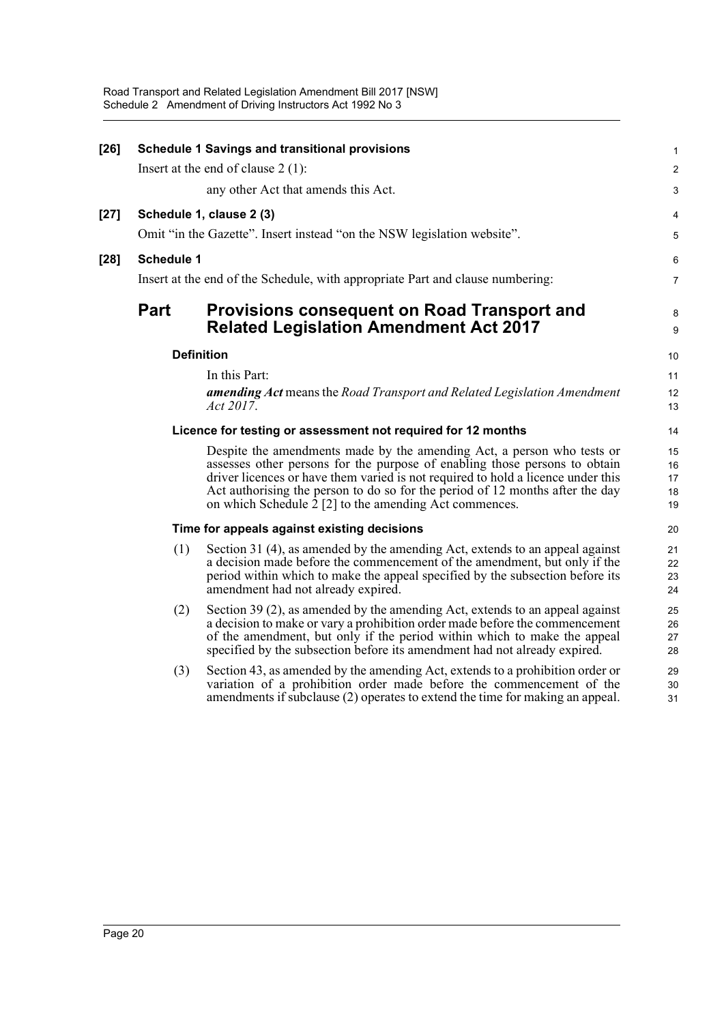|             | <b>Schedule 1 Savings and transitional provisions</b>                         | $\mathbf{1}$                                                                                                                                                                                                                                                                                                                                                                                                                                                                                                                                                                                                                                                                                                                                                                                                                                                                                                                                                                                                                                                                                                                                                                    |
|-------------|-------------------------------------------------------------------------------|---------------------------------------------------------------------------------------------------------------------------------------------------------------------------------------------------------------------------------------------------------------------------------------------------------------------------------------------------------------------------------------------------------------------------------------------------------------------------------------------------------------------------------------------------------------------------------------------------------------------------------------------------------------------------------------------------------------------------------------------------------------------------------------------------------------------------------------------------------------------------------------------------------------------------------------------------------------------------------------------------------------------------------------------------------------------------------------------------------------------------------------------------------------------------------|
|             |                                                                               |                                                                                                                                                                                                                                                                                                                                                                                                                                                                                                                                                                                                                                                                                                                                                                                                                                                                                                                                                                                                                                                                                                                                                                                 |
|             |                                                                               | 2                                                                                                                                                                                                                                                                                                                                                                                                                                                                                                                                                                                                                                                                                                                                                                                                                                                                                                                                                                                                                                                                                                                                                                               |
|             | any other Act that amends this Act.                                           | 3                                                                                                                                                                                                                                                                                                                                                                                                                                                                                                                                                                                                                                                                                                                                                                                                                                                                                                                                                                                                                                                                                                                                                                               |
|             |                                                                               | 4                                                                                                                                                                                                                                                                                                                                                                                                                                                                                                                                                                                                                                                                                                                                                                                                                                                                                                                                                                                                                                                                                                                                                                               |
|             |                                                                               | 5                                                                                                                                                                                                                                                                                                                                                                                                                                                                                                                                                                                                                                                                                                                                                                                                                                                                                                                                                                                                                                                                                                                                                                               |
|             |                                                                               | 6                                                                                                                                                                                                                                                                                                                                                                                                                                                                                                                                                                                                                                                                                                                                                                                                                                                                                                                                                                                                                                                                                                                                                                               |
|             |                                                                               | $\overline{7}$                                                                                                                                                                                                                                                                                                                                                                                                                                                                                                                                                                                                                                                                                                                                                                                                                                                                                                                                                                                                                                                                                                                                                                  |
| <b>Part</b> | Provisions consequent on Road Transport and                                   | 8<br>9                                                                                                                                                                                                                                                                                                                                                                                                                                                                                                                                                                                                                                                                                                                                                                                                                                                                                                                                                                                                                                                                                                                                                                          |
|             |                                                                               | 10                                                                                                                                                                                                                                                                                                                                                                                                                                                                                                                                                                                                                                                                                                                                                                                                                                                                                                                                                                                                                                                                                                                                                                              |
|             |                                                                               | 11                                                                                                                                                                                                                                                                                                                                                                                                                                                                                                                                                                                                                                                                                                                                                                                                                                                                                                                                                                                                                                                                                                                                                                              |
|             |                                                                               | 12                                                                                                                                                                                                                                                                                                                                                                                                                                                                                                                                                                                                                                                                                                                                                                                                                                                                                                                                                                                                                                                                                                                                                                              |
|             | Act 2017.                                                                     | 13                                                                                                                                                                                                                                                                                                                                                                                                                                                                                                                                                                                                                                                                                                                                                                                                                                                                                                                                                                                                                                                                                                                                                                              |
|             |                                                                               | 14                                                                                                                                                                                                                                                                                                                                                                                                                                                                                                                                                                                                                                                                                                                                                                                                                                                                                                                                                                                                                                                                                                                                                                              |
|             | Despite the amendments made by the amending Act, a person who tests or        | 15                                                                                                                                                                                                                                                                                                                                                                                                                                                                                                                                                                                                                                                                                                                                                                                                                                                                                                                                                                                                                                                                                                                                                                              |
|             |                                                                               | 16<br>17                                                                                                                                                                                                                                                                                                                                                                                                                                                                                                                                                                                                                                                                                                                                                                                                                                                                                                                                                                                                                                                                                                                                                                        |
|             | Act authorising the person to do so for the period of 12 months after the day | 18                                                                                                                                                                                                                                                                                                                                                                                                                                                                                                                                                                                                                                                                                                                                                                                                                                                                                                                                                                                                                                                                                                                                                                              |
|             |                                                                               | 19                                                                                                                                                                                                                                                                                                                                                                                                                                                                                                                                                                                                                                                                                                                                                                                                                                                                                                                                                                                                                                                                                                                                                                              |
|             |                                                                               | 20                                                                                                                                                                                                                                                                                                                                                                                                                                                                                                                                                                                                                                                                                                                                                                                                                                                                                                                                                                                                                                                                                                                                                                              |
| (1)         | Section 31 (4), as amended by the amending Act, extends to an appeal against  | 21                                                                                                                                                                                                                                                                                                                                                                                                                                                                                                                                                                                                                                                                                                                                                                                                                                                                                                                                                                                                                                                                                                                                                                              |
|             |                                                                               | 22<br>23                                                                                                                                                                                                                                                                                                                                                                                                                                                                                                                                                                                                                                                                                                                                                                                                                                                                                                                                                                                                                                                                                                                                                                        |
|             | amendment had not already expired.                                            | 24                                                                                                                                                                                                                                                                                                                                                                                                                                                                                                                                                                                                                                                                                                                                                                                                                                                                                                                                                                                                                                                                                                                                                                              |
| (2)         | Section 39 (2), as amended by the amending Act, extends to an appeal against  | 25                                                                                                                                                                                                                                                                                                                                                                                                                                                                                                                                                                                                                                                                                                                                                                                                                                                                                                                                                                                                                                                                                                                                                                              |
|             |                                                                               | 26<br>27                                                                                                                                                                                                                                                                                                                                                                                                                                                                                                                                                                                                                                                                                                                                                                                                                                                                                                                                                                                                                                                                                                                                                                        |
|             | specified by the subsection before its amendment had not already expired.     | 28                                                                                                                                                                                                                                                                                                                                                                                                                                                                                                                                                                                                                                                                                                                                                                                                                                                                                                                                                                                                                                                                                                                                                                              |
| (3)         | Section 43, as amended by the amending Act, extends to a prohibition order or | 29                                                                                                                                                                                                                                                                                                                                                                                                                                                                                                                                                                                                                                                                                                                                                                                                                                                                                                                                                                                                                                                                                                                                                                              |
|             | amendments if subclause (2) operates to extend the time for making an appeal. | 30<br>31                                                                                                                                                                                                                                                                                                                                                                                                                                                                                                                                                                                                                                                                                                                                                                                                                                                                                                                                                                                                                                                                                                                                                                        |
|             |                                                                               | Insert at the end of clause $2(1)$ :<br>Schedule 1, clause 2 (3)<br>Omit "in the Gazette". Insert instead "on the NSW legislation website".<br><b>Schedule 1</b><br>Insert at the end of the Schedule, with appropriate Part and clause numbering:<br><b>Related Legislation Amendment Act 2017</b><br><b>Definition</b><br>In this Part:<br><b>amending Act</b> means the Road Transport and Related Legislation Amendment<br>Licence for testing or assessment not required for 12 months<br>assesses other persons for the purpose of enabling those persons to obtain<br>driver licences or have them varied is not required to hold a licence under this<br>on which Schedule $\bar{2}$ [2] to the amending Act commences.<br>Time for appeals against existing decisions<br>a decision made before the commencement of the amendment, but only if the<br>period within which to make the appeal specified by the subsection before its<br>a decision to make or vary a prohibition order made before the commencement<br>of the amendment, but only if the period within which to make the appeal<br>variation of a prohibition order made before the commencement of the |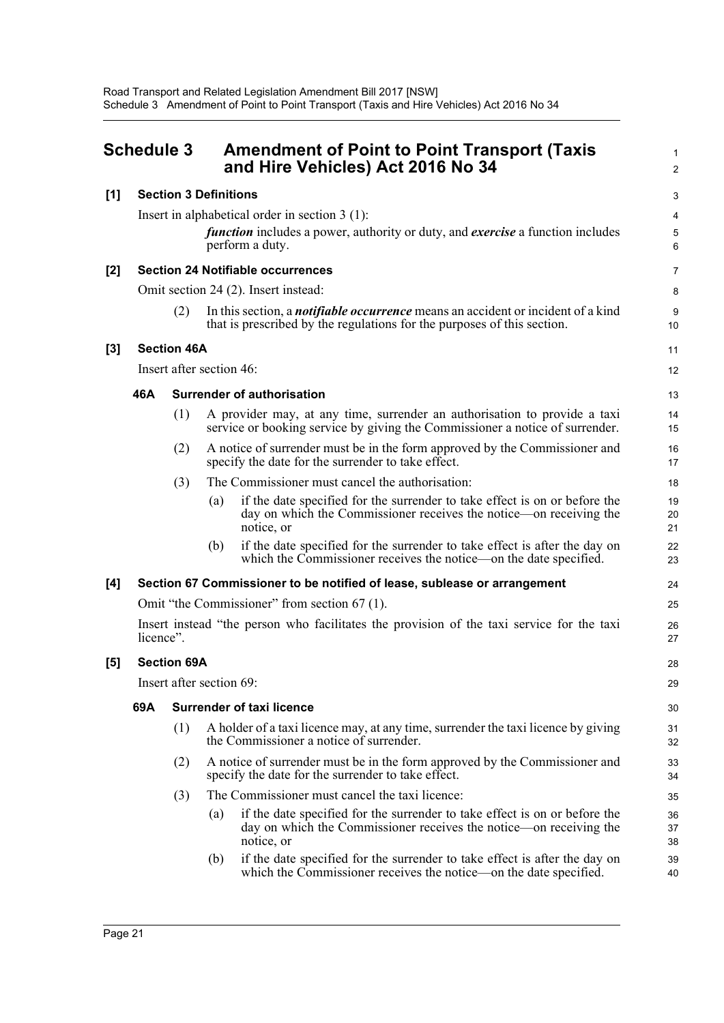<span id="page-27-0"></span>

| <b>Schedule 3</b> |                          |                    | <b>Amendment of Point to Point Transport (Taxis</b><br>and Hire Vehicles) Act 2016 No 34                                                                              | $\mathbf{1}$<br>$\overline{2}$ |  |  |
|-------------------|--------------------------|--------------------|-----------------------------------------------------------------------------------------------------------------------------------------------------------------------|--------------------------------|--|--|
| [1]               |                          |                    | <b>Section 3 Definitions</b>                                                                                                                                          | 3                              |  |  |
|                   |                          |                    | Insert in alphabetical order in section $3(1)$ :<br><i>function</i> includes a power, authority or duty, and <i>exercise</i> a function includes<br>perform a duty.   | 4<br>$\,$ 5 $\,$<br>6          |  |  |
| $[2]$             |                          |                    | <b>Section 24 Notifiable occurrences</b>                                                                                                                              | 7                              |  |  |
|                   |                          |                    | Omit section 24 (2). Insert instead:                                                                                                                                  | 8                              |  |  |
|                   |                          | (2)                | In this section, a <i>notifiable occurrence</i> means an accident or incident of a kind<br>that is prescribed by the regulations for the purposes of this section.    | 9<br>10                        |  |  |
| [3]               |                          | <b>Section 46A</b> |                                                                                                                                                                       | 11                             |  |  |
|                   |                          |                    | Insert after section 46:                                                                                                                                              | 12                             |  |  |
|                   | 46A                      |                    | <b>Surrender of authorisation</b>                                                                                                                                     | 13                             |  |  |
|                   |                          | (1)                | A provider may, at any time, surrender an authorisation to provide a taxi<br>service or booking service by giving the Commissioner a notice of surrender.             | 14<br>15                       |  |  |
|                   |                          | (2)                | A notice of surrender must be in the form approved by the Commissioner and<br>specify the date for the surrender to take effect.                                      | 16<br>17                       |  |  |
|                   |                          | (3)                | The Commissioner must cancel the authorisation:                                                                                                                       | 18                             |  |  |
|                   |                          |                    | if the date specified for the surrender to take effect is on or before the<br>(a)<br>day on which the Commissioner receives the notice—on receiving the<br>notice, or | 19<br>20<br>21                 |  |  |
|                   |                          |                    | if the date specified for the surrender to take effect is after the day on<br>(b)<br>which the Commissioner receives the notice—on the date specified.                | 22<br>23                       |  |  |
| [4]               |                          |                    | Section 67 Commissioner to be notified of lease, sublease or arrangement                                                                                              | 24                             |  |  |
|                   |                          |                    | Omit "the Commissioner" from section 67 (1).                                                                                                                          | 25                             |  |  |
|                   | licence".                |                    | Insert instead "the person who facilitates the provision of the taxi service for the taxi                                                                             | 26<br>27                       |  |  |
| [5]               | <b>Section 69A</b>       |                    |                                                                                                                                                                       |                                |  |  |
|                   | Insert after section 69: |                    |                                                                                                                                                                       |                                |  |  |
|                   | 69A                      |                    | <b>Surrender of taxi licence</b>                                                                                                                                      | 30                             |  |  |
|                   |                          | (1)                | A holder of a taxi licence may, at any time, surrender the taxi licence by giving<br>the Commissioner a notice of surrender.                                          | 31<br>32                       |  |  |
|                   |                          | (2)                | A notice of surrender must be in the form approved by the Commissioner and<br>specify the date for the surrender to take effect.                                      | 33<br>34                       |  |  |
|                   |                          | (3)                | The Commissioner must cancel the taxi licence:                                                                                                                        | 35                             |  |  |
|                   |                          |                    | if the date specified for the surrender to take effect is on or before the<br>(a)<br>day on which the Commissioner receives the notice—on receiving the<br>notice, or | 36<br>37<br>38                 |  |  |
|                   |                          |                    | if the date specified for the surrender to take effect is after the day on<br>(b)<br>which the Commissioner receives the notice—on the date specified.                | 39<br>40                       |  |  |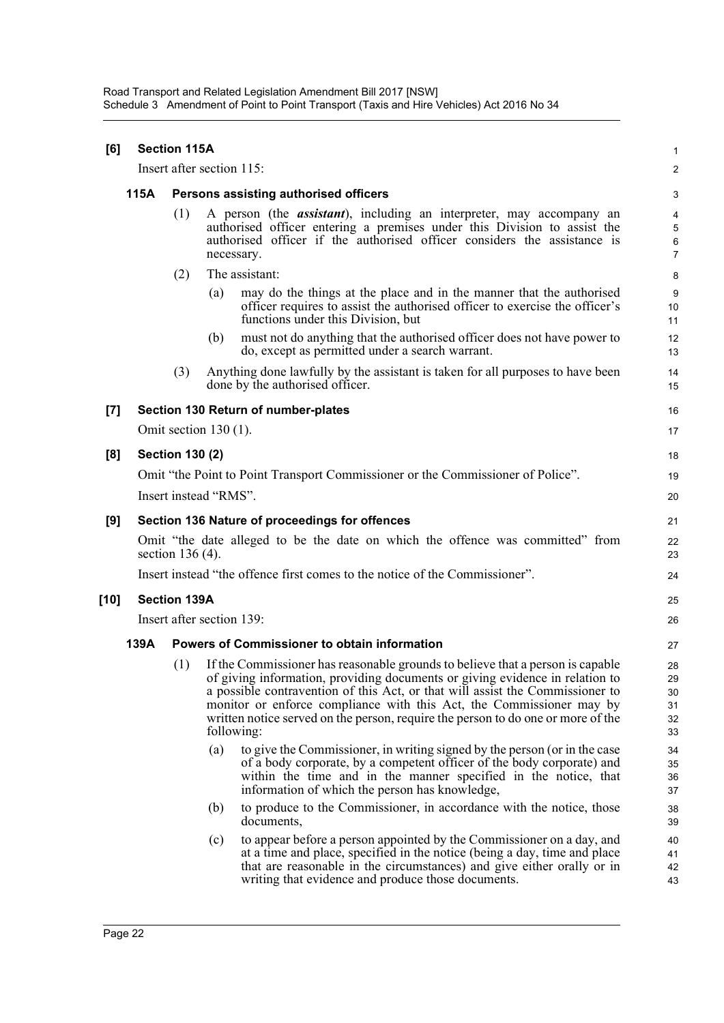Road Transport and Related Legislation Amendment Bill 2017 [NSW] Schedule 3 Amendment of Point to Point Transport (Taxis and Hire Vehicles) Act 2016 No 34

| [6]   |      | <b>Section 115A</b>       |                                       |                                                                                                                                                                                                                                                                                                                                                                                                             | $\mathbf{1}$                           |  |  |
|-------|------|---------------------------|---------------------------------------|-------------------------------------------------------------------------------------------------------------------------------------------------------------------------------------------------------------------------------------------------------------------------------------------------------------------------------------------------------------------------------------------------------------|----------------------------------------|--|--|
|       |      | Insert after section 115: |                                       |                                                                                                                                                                                                                                                                                                                                                                                                             | 2                                      |  |  |
|       | 115A |                           | Persons assisting authorised officers |                                                                                                                                                                                                                                                                                                                                                                                                             |                                        |  |  |
|       |      | (1)                       | necessary.                            | A person (the <i>assistant</i> ), including an interpreter, may accompany an<br>authorised officer entering a premises under this Division to assist the<br>authorised officer if the authorised officer considers the assistance is                                                                                                                                                                        | 4<br>$\sqrt{5}$<br>6<br>$\overline{7}$ |  |  |
|       |      | (2)                       |                                       | The assistant:                                                                                                                                                                                                                                                                                                                                                                                              | 8                                      |  |  |
|       |      |                           | (a)                                   | may do the things at the place and in the manner that the authorised<br>officer requires to assist the authorised officer to exercise the officer's<br>functions under this Division, but                                                                                                                                                                                                                   | 9<br>10<br>11                          |  |  |
|       |      |                           | (b)                                   | must not do anything that the authorised officer does not have power to<br>do, except as permitted under a search warrant.                                                                                                                                                                                                                                                                                  | 12<br>13                               |  |  |
|       |      | (3)                       |                                       | Anything done lawfully by the assistant is taken for all purposes to have been<br>done by the authorised officer.                                                                                                                                                                                                                                                                                           | 14<br>15                               |  |  |
| $[7]$ |      |                           |                                       | Section 130 Return of number-plates                                                                                                                                                                                                                                                                                                                                                                         | 16                                     |  |  |
|       |      | Omit section $130(1)$ .   |                                       |                                                                                                                                                                                                                                                                                                                                                                                                             | 17                                     |  |  |
| [8]   |      | <b>Section 130 (2)</b>    |                                       |                                                                                                                                                                                                                                                                                                                                                                                                             | 18                                     |  |  |
|       |      |                           |                                       | Omit "the Point to Point Transport Commissioner or the Commissioner of Police".                                                                                                                                                                                                                                                                                                                             | 19                                     |  |  |
|       |      | Insert instead "RMS".     |                                       |                                                                                                                                                                                                                                                                                                                                                                                                             | 20                                     |  |  |
| [9]   |      |                           |                                       | Section 136 Nature of proceedings for offences                                                                                                                                                                                                                                                                                                                                                              | 21                                     |  |  |
|       |      | section 136 (4).          |                                       | Omit "the date alleged to be the date on which the offence was committed" from                                                                                                                                                                                                                                                                                                                              | 22<br>23                               |  |  |
|       |      |                           |                                       | Insert instead "the offence first comes to the notice of the Commissioner".                                                                                                                                                                                                                                                                                                                                 | 24                                     |  |  |
| [10]  |      | <b>Section 139A</b>       |                                       |                                                                                                                                                                                                                                                                                                                                                                                                             | 25                                     |  |  |
|       |      | Insert after section 139: |                                       |                                                                                                                                                                                                                                                                                                                                                                                                             | 26                                     |  |  |
|       | 139A |                           |                                       | <b>Powers of Commissioner to obtain information</b>                                                                                                                                                                                                                                                                                                                                                         | 27                                     |  |  |
|       |      | (1)                       | following:                            | If the Commissioner has reasonable grounds to believe that a person is capable<br>of giving information, providing documents or giving evidence in relation to<br>a possible contravention of this Act, or that will assist the Commissioner to<br>monitor or enforce compliance with this Act, the Commissioner may by<br>written notice served on the person, require the person to do one or more of the | 28<br>29<br>30<br>31<br>32<br>33       |  |  |
|       |      |                           | (a)                                   | to give the Commissioner, in writing signed by the person (or in the case<br>of a body corporate, by a competent officer of the body corporate) and<br>within the time and in the manner specified in the notice, that<br>information of which the person has knowledge,                                                                                                                                    | 34<br>35<br>36<br>37                   |  |  |
|       |      |                           | (b)                                   | to produce to the Commissioner, in accordance with the notice, those<br>documents,                                                                                                                                                                                                                                                                                                                          | 38<br>39                               |  |  |
|       |      |                           | (c)                                   | to appear before a person appointed by the Commissioner on a day, and<br>at a time and place, specified in the notice (being a day, time and place<br>that are reasonable in the circumstances) and give either orally or in<br>writing that evidence and produce those documents.                                                                                                                          | 40<br>41<br>42<br>43                   |  |  |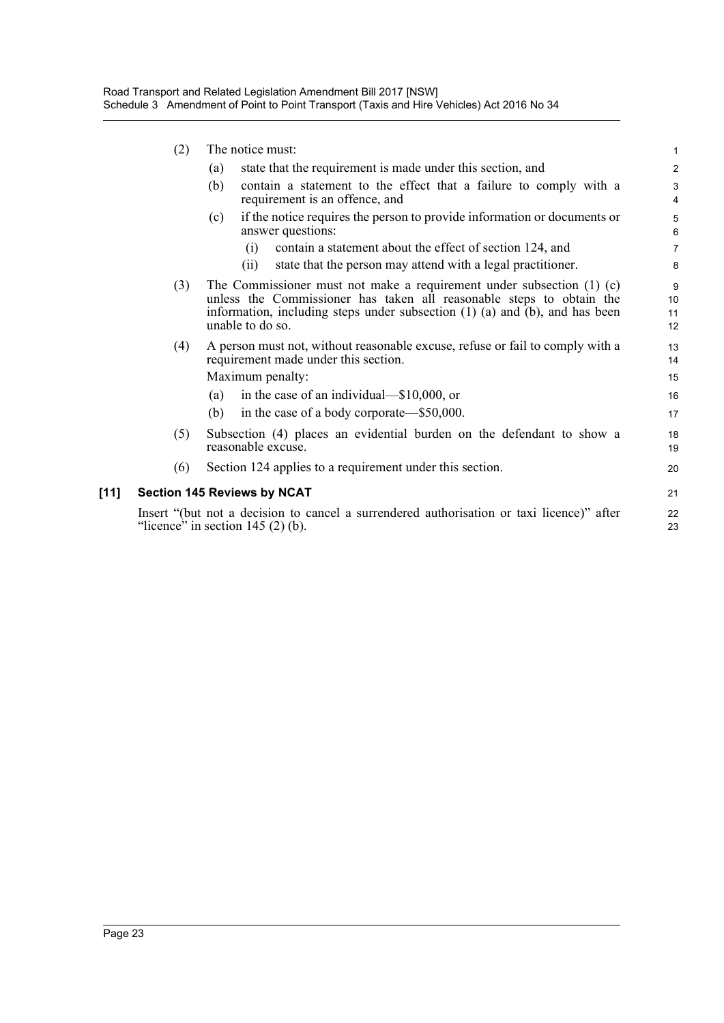|        | (2) | The notice must:                                                                                                                                                                                                                                          | $\mathbf{1}$        |
|--------|-----|-----------------------------------------------------------------------------------------------------------------------------------------------------------------------------------------------------------------------------------------------------------|---------------------|
|        |     | state that the requirement is made under this section, and<br>(a)                                                                                                                                                                                         | 2                   |
|        |     | (b)<br>contain a statement to the effect that a failure to comply with a<br>requirement is an offence, and                                                                                                                                                | 3<br>4              |
|        |     | if the notice requires the person to provide information or documents or<br>(c)<br>answer questions:                                                                                                                                                      | $\overline{5}$<br>6 |
|        |     | contain a statement about the effect of section 124, and<br>(i)                                                                                                                                                                                           | $\overline{7}$      |
|        |     | state that the person may attend with a legal practitioner.<br>(i)                                                                                                                                                                                        | 8                   |
|        | (3) | The Commissioner must not make a requirement under subsection $(1)$ (c)<br>unless the Commissioner has taken all reasonable steps to obtain the<br>information, including steps under subsection $(1)$ $(a)$ and $(b)$ , and has been<br>unable to do so. | 9<br>10<br>11<br>12 |
|        | (4) | A person must not, without reasonable excuse, refuse or fail to comply with a<br>requirement made under this section.                                                                                                                                     | 13<br>14            |
|        |     | Maximum penalty:                                                                                                                                                                                                                                          | 15                  |
|        |     | in the case of an individual—\$10,000, or<br>(a)                                                                                                                                                                                                          | 16                  |
|        |     | in the case of a body corporate—\$50,000.<br>(b)                                                                                                                                                                                                          | 17                  |
|        | (5) | Subsection (4) places an evidential burden on the defendant to show a<br>reasonable excuse.                                                                                                                                                               | 18<br>19            |
|        | (6) | Section 124 applies to a requirement under this section.                                                                                                                                                                                                  | 20                  |
| $[11]$ |     | <b>Section 145 Reviews by NCAT</b>                                                                                                                                                                                                                        | 21                  |
|        |     | Insert "(but not a decision to cancel a surrendered authorisation or taxi licence)" after<br>"licence" in section $145(2)$ (b).                                                                                                                           | 22<br>23            |